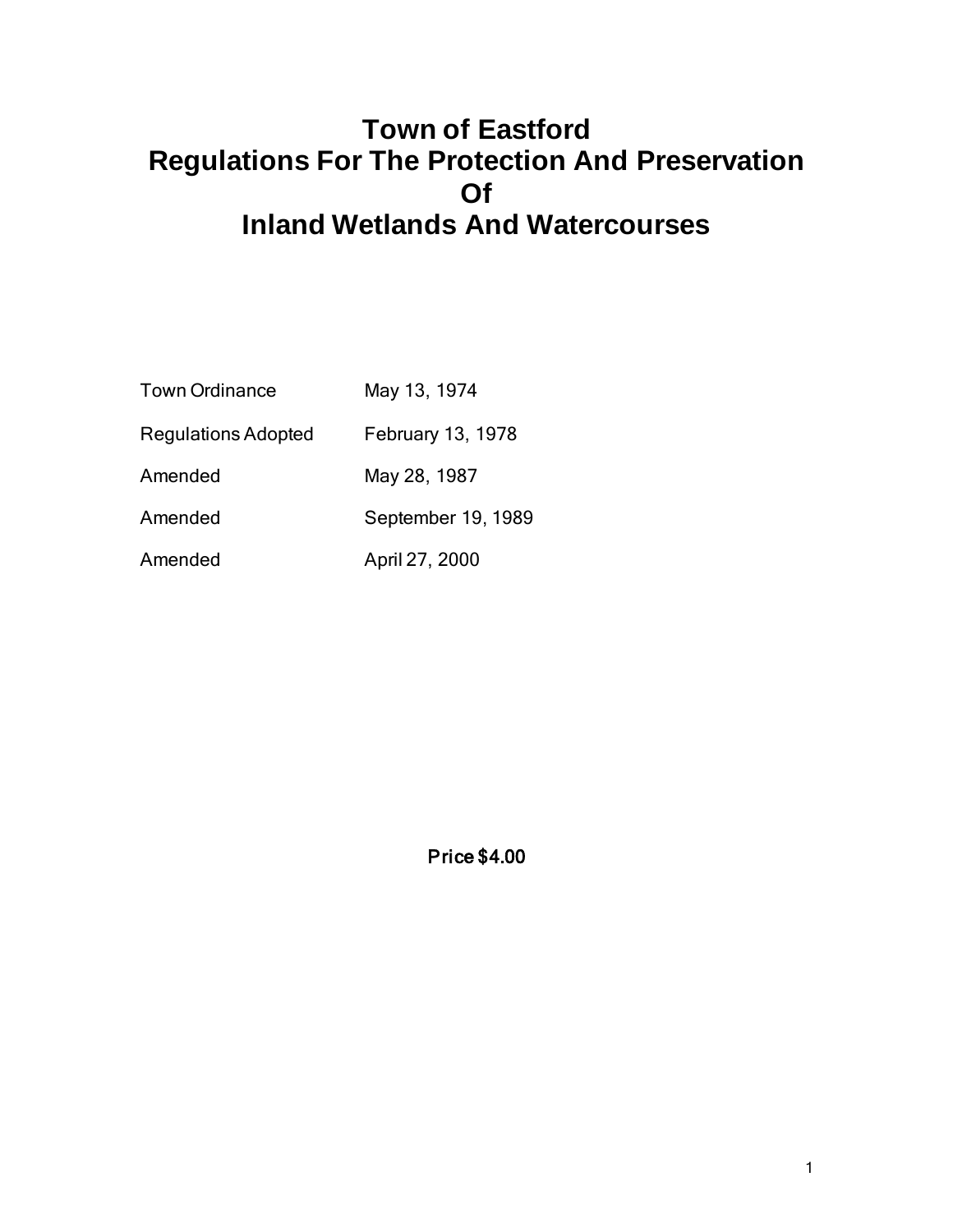# **Town of Eastford Regulations For The Protection And Preservation Of Inland Wetlands And Watercourses**

| <b>Town Ordinance</b>      | May 13, 1974       |
|----------------------------|--------------------|
| <b>Regulations Adopted</b> | February 13, 1978  |
| Amended                    | May 28, 1987       |
| Amended                    | September 19, 1989 |
| Amended                    | April 27, 2000     |

Price \$4.00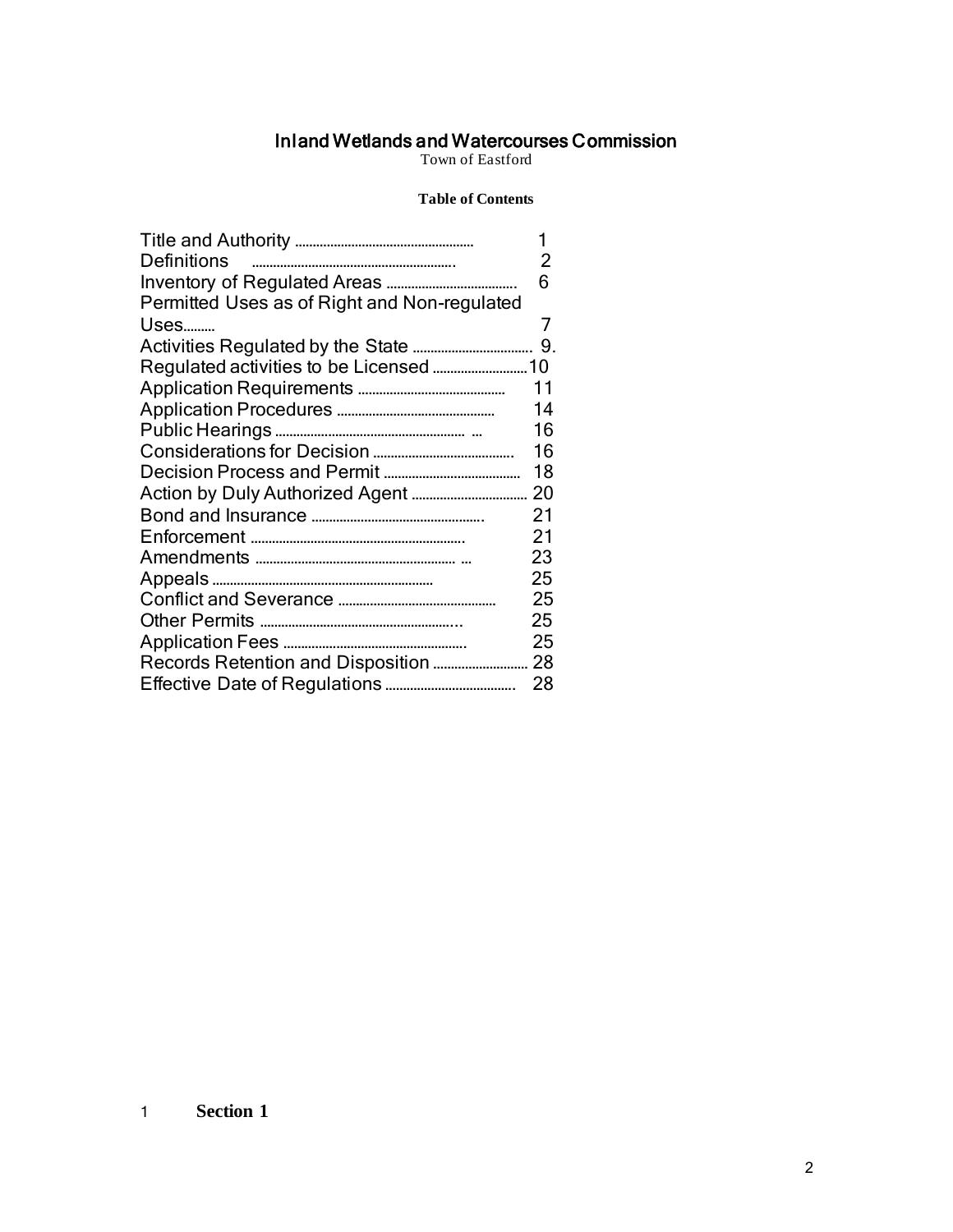#### Inland Wetlands and Watercourses Commission

Town of Eastford

#### **Table of Contents**

|                                              | 1  |
|----------------------------------------------|----|
| <b>Definitions</b>                           | 2  |
|                                              | 6  |
| Permitted Uses as of Right and Non-regulated |    |
| Uses                                         | 7  |
|                                              |    |
|                                              |    |
|                                              | 11 |
|                                              | 14 |
|                                              | 16 |
|                                              | 16 |
|                                              | 18 |
|                                              | 20 |
|                                              | 21 |
|                                              | 21 |
|                                              | 23 |
|                                              | 25 |
|                                              | 25 |
|                                              | 25 |
|                                              | 25 |
|                                              | 28 |
|                                              | 28 |

### 1 **Section 1**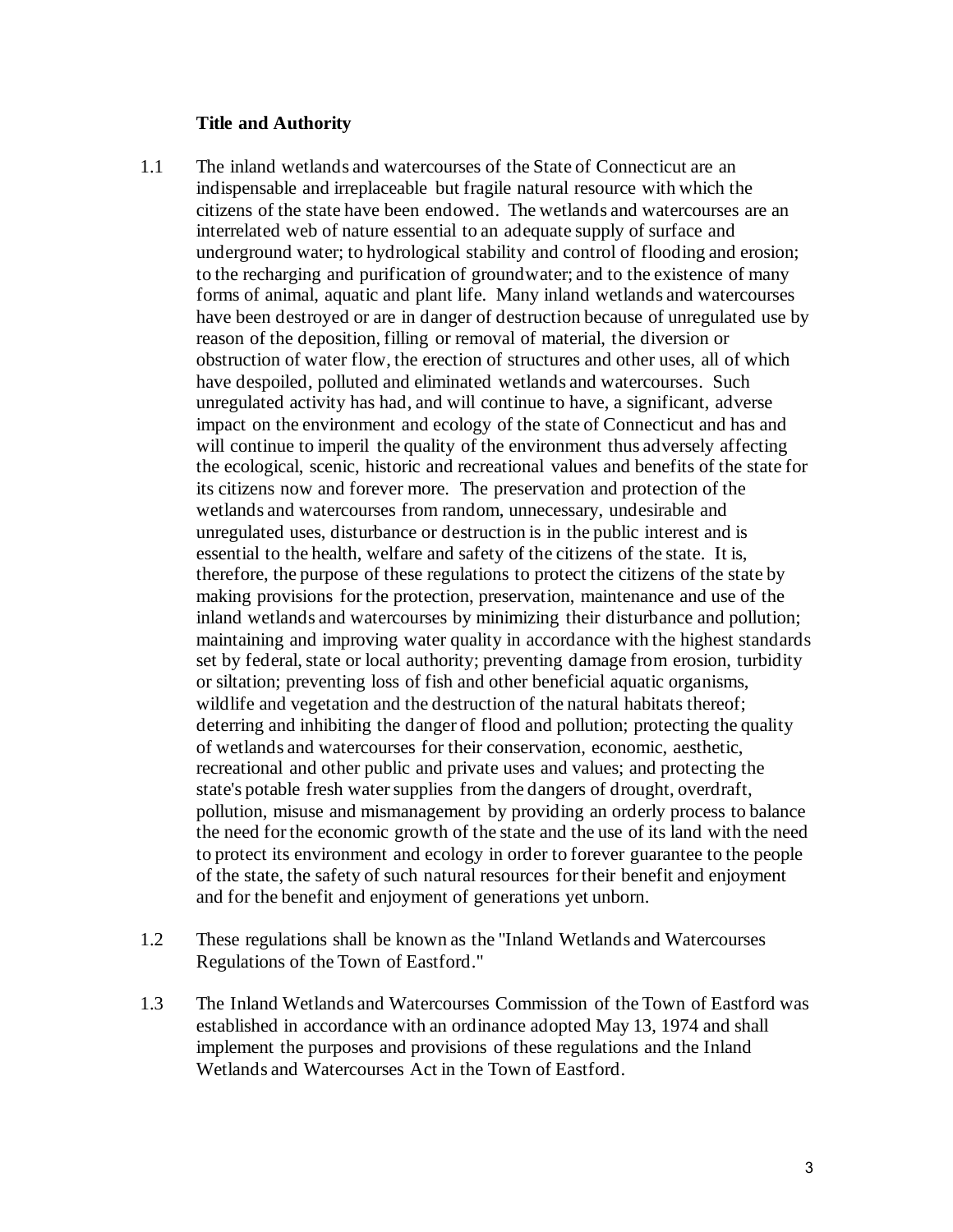#### **Title and Authority**

- 1.1 The inland wetlands and watercourses of the State of Connecticut are an indispensable and irreplaceable but fragile natural resource with which the citizens of the state have been endowed. The wetlands and watercourses are an interrelated web of nature essential to an adequate supply of surface and underground water; to hydrological stability and control of flooding and erosion; to the recharging and purification of groundwater; and to the existence of many forms of animal, aquatic and plant life. Many inland wetlands and watercourses have been destroyed or are in danger of destruction because of unregulated use by reason of the deposition, filling or removal of material, the diversion or obstruction of water flow, the erection of structures and other uses, all of which have despoiled, polluted and eliminated wetlands and watercourses. Such unregulated activity has had, and will continue to have, a significant, adverse impact on the environment and ecology of the state of Connecticut and has and will continue to imperil the quality of the environment thus adversely affecting the ecological, scenic, historic and recreational values and benefits of the state for its citizens now and forever more. The preservation and protection of the wetlands and watercourses from random, unnecessary, undesirable and unregulated uses, disturbance or destruction is in the public interest and is essential to the health, welfare and safety of the citizens of the state. It is, therefore, the purpose of these regulations to protect the citizens of the state by making provisions for the protection, preservation, maintenance and use of the inland wetlands and watercourses by minimizing their disturbance and pollution; maintaining and improving water quality in accordance with the highest standards set by federal, state or local authority; preventing damage from erosion, turbidity or siltation; preventing loss of fish and other beneficial aquatic organisms, wildlife and vegetation and the destruction of the natural habitats thereof; deterring and inhibiting the danger of flood and pollution; protecting the quality of wetlands and watercourses for their conservation, economic, aesthetic, recreational and other public and private uses and values; and protecting the state's potable fresh water supplies from the dangers of drought, overdraft, pollution, misuse and mismanagement by providing an orderly process to balance the need for the economic growth of the state and the use of its land with the need to protect its environment and ecology in order to forever guarantee to the people of the state, the safety of such natural resources for their benefit and enjoyment and for the benefit and enjoyment of generations yet unborn.
- 1.2 These regulations shall be known as the "Inland Wetlands and Watercourses Regulations of the Town of Eastford."
- 1.3 The Inland Wetlands and Watercourses Commission of the Town of Eastford was established in accordance with an ordinance adopted May 13, 1974 and shall implement the purposes and provisions of these regulations and the Inland Wetlands and Watercourses Act in the Town of Eastford.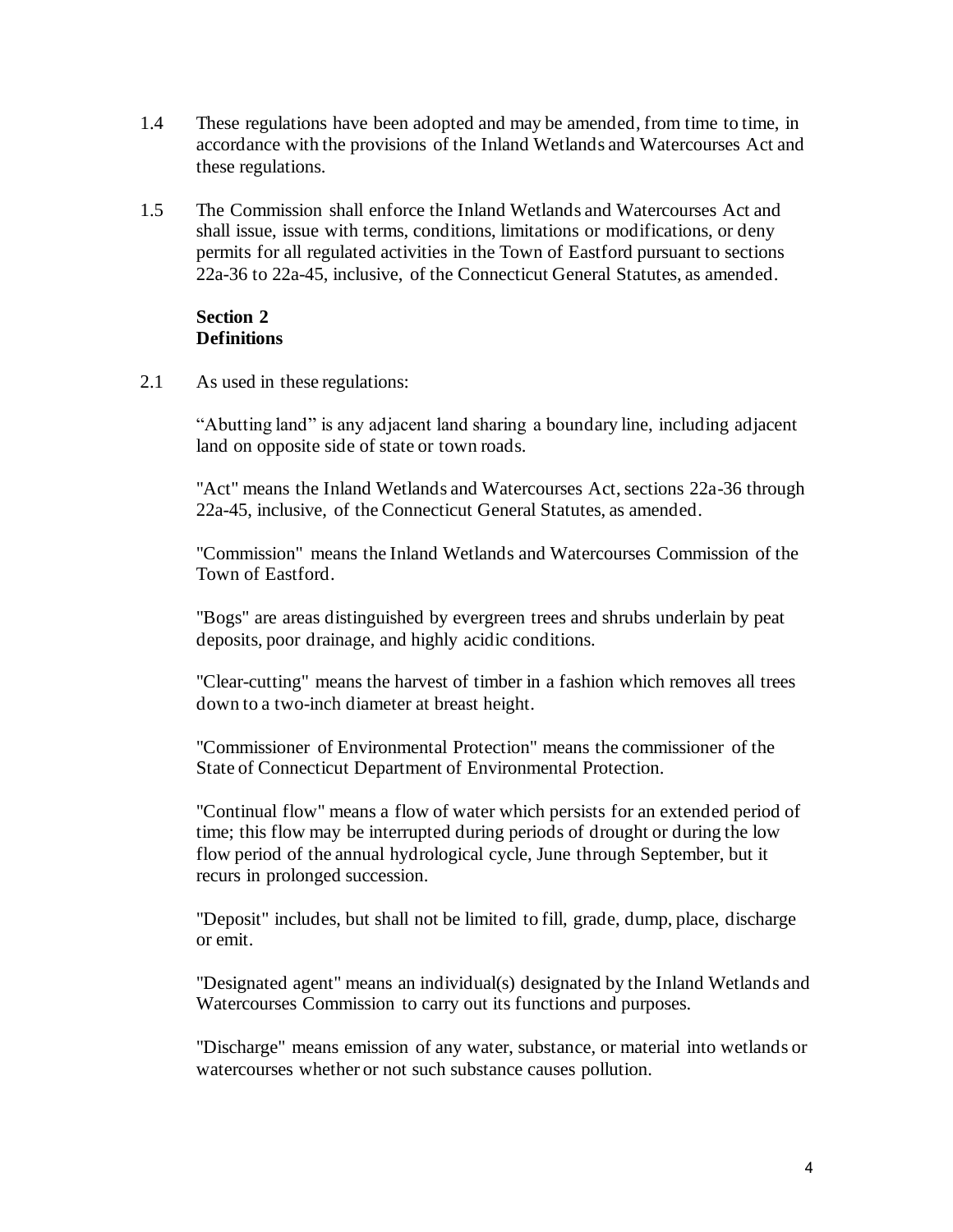- 1.4 These regulations have been adopted and may be amended, from time to time, in accordance with the provisions of the Inland Wetlands and Watercourses Act and these regulations.
- 1.5 The Commission shall enforce the Inland Wetlands and Watercourses Act and shall issue, issue with terms, conditions, limitations or modifications, or deny permits for all regulated activities in the Town of Eastford pursuant to sections 22a-36 to 22a-45, inclusive, of the Connecticut General Statutes, as amended.

#### **Section 2 Definitions**

2.1 As used in these regulations:

"Abutting land" is any adjacent land sharing a boundary line, including adjacent land on opposite side of state or town roads.

"Act" means the Inland Wetlands and Watercourses Act, sections 22a-36 through 22a-45, inclusive, of the Connecticut General Statutes, as amended.

"Commission" means the Inland Wetlands and Watercourses Commission of the Town of Eastford.

"Bogs" are areas distinguished by evergreen trees and shrubs underlain by peat deposits, poor drainage, and highly acidic conditions.

"Clear-cutting" means the harvest of timber in a fashion which removes all trees down to a two-inch diameter at breast height.

"Commissioner of Environmental Protection" means the commissioner of the State of Connecticut Department of Environmental Protection.

"Continual flow" means a flow of water which persists for an extended period of time; this flow may be interrupted during periods of drought or during the low flow period of the annual hydrological cycle, June through September, but it recurs in prolonged succession.

"Deposit" includes, but shall not be limited to fill, grade, dump, place, discharge or emit.

"Designated agent" means an individual(s) designated by the Inland Wetlands and Watercourses Commission to carry out its functions and purposes.

"Discharge" means emission of any water, substance, or material into wetlands or watercourses whether or not such substance causes pollution.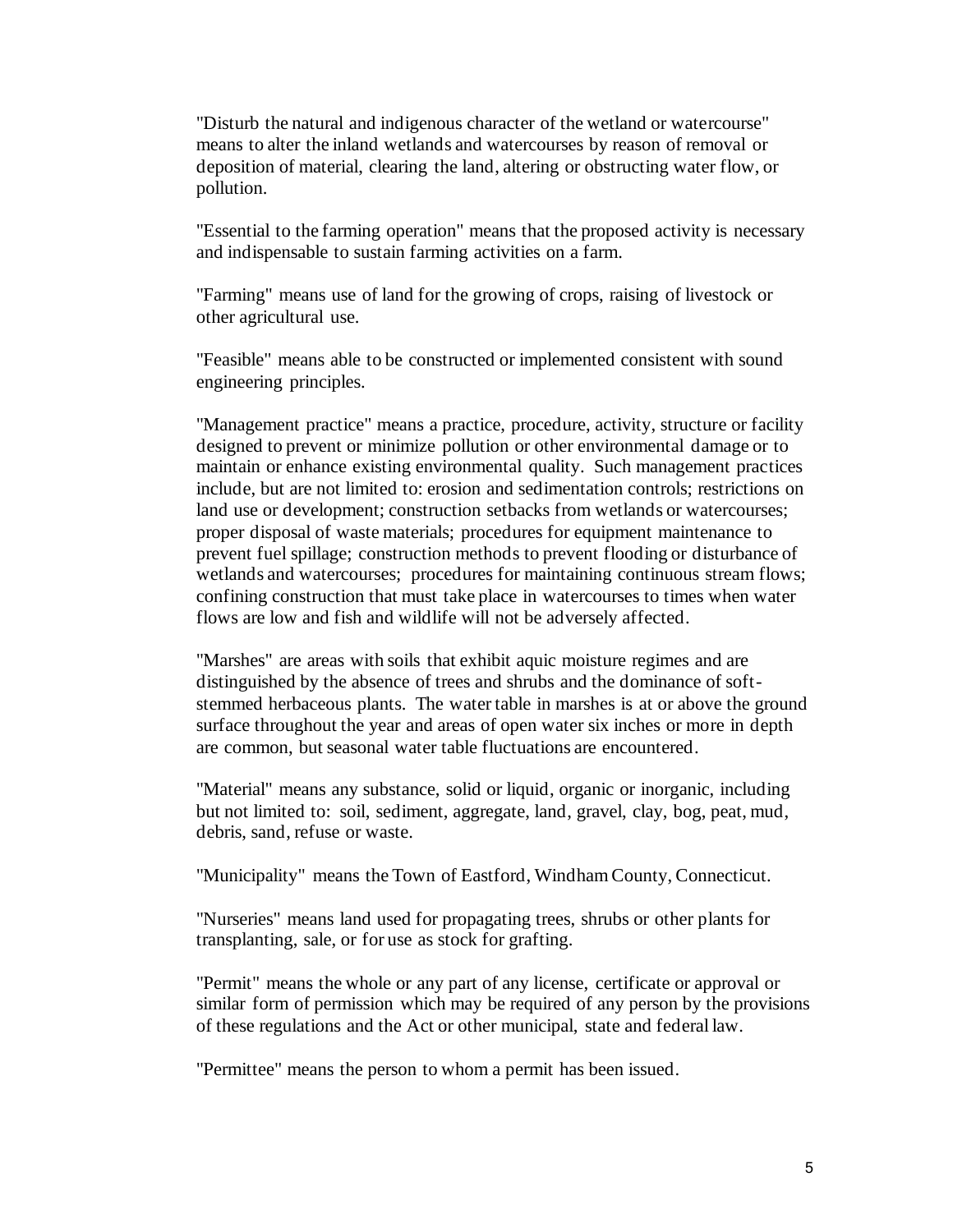"Disturb the natural and indigenous character of the wetland or watercourse" means to alter the inland wetlands and watercourses by reason of removal or deposition of material, clearing the land, altering or obstructing water flow, or pollution.

 "Essential to the farming operation" means that the proposed activity is necessary and indispensable to sustain farming activities on a farm.

"Farming" means use of land for the growing of crops, raising of livestock or other agricultural use.

"Feasible" means able to be constructed or implemented consistent with sound engineering principles.

"Management practice" means a practice, procedure, activity, structure or facility designed to prevent or minimize pollution or other environmental damage or to maintain or enhance existing environmental quality. Such management practices include, but are not limited to: erosion and sedimentation controls; restrictions on land use or development; construction setbacks from wetlands or watercourses; proper disposal of waste materials; procedures for equipment maintenance to prevent fuel spillage; construction methods to prevent flooding or disturbance of wetlands and watercourses; procedures for maintaining continuous stream flows; confining construction that must take place in watercourses to times when water flows are low and fish and wildlife will not be adversely affected.

 "Marshes" are areas with soils that exhibit aquic moisture regimes and are distinguished by the absence of trees and shrubs and the dominance of softstemmed herbaceous plants. The water table in marshes is at or above the ground surface throughout the year and areas of open water six inches or more in depth are common, but seasonal water table fluctuations are encountered.

"Material" means any substance, solid or liquid, organic or inorganic, including but not limited to: soil, sediment, aggregate, land, gravel, clay, bog, peat, mud, debris, sand, refuse or waste.

"Municipality" means the Town of Eastford, Windham County, Connecticut.

"Nurseries" means land used for propagating trees, shrubs or other plants for transplanting, sale, or for use as stock for grafting.

"Permit" means the whole or any part of any license, certificate or approval or similar form of permission which may be required of any person by the provisions of these regulations and the Act or other municipal, state and federal law.

"Permittee" means the person to whom a permit has been issued.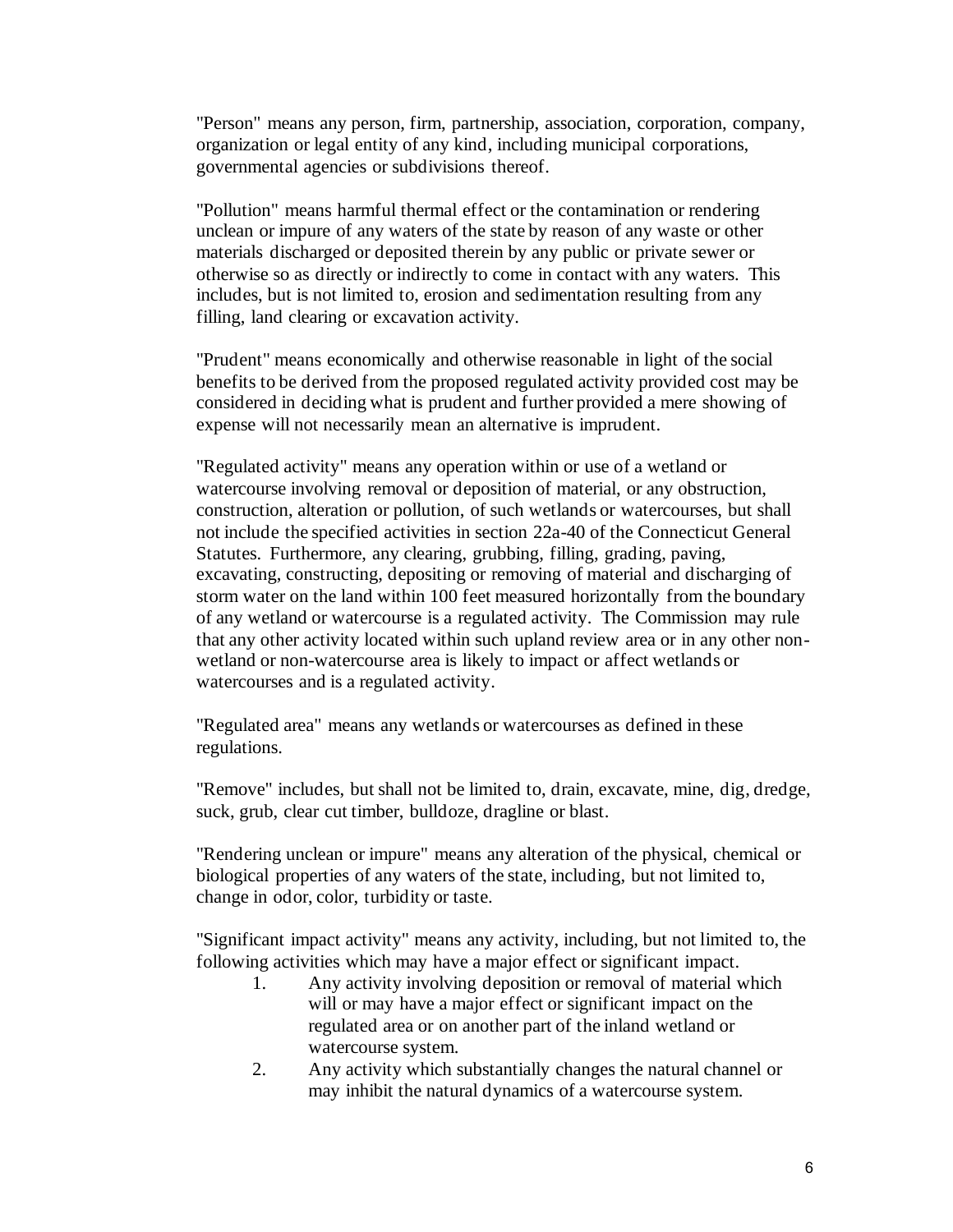"Person" means any person, firm, partnership, association, corporation, company, organization or legal entity of any kind, including municipal corporations, governmental agencies or subdivisions thereof.

"Pollution" means harmful thermal effect or the contamination or rendering unclean or impure of any waters of the state by reason of any waste or other materials discharged or deposited therein by any public or private sewer or otherwise so as directly or indirectly to come in contact with any waters. This includes, but is not limited to, erosion and sedimentation resulting from any filling, land clearing or excavation activity.

"Prudent" means economically and otherwise reasonable in light of the social benefits to be derived from the proposed regulated activity provided cost may be considered in deciding what is prudent and further provided a mere showing of expense will not necessarily mean an alternative is imprudent.

"Regulated activity" means any operation within or use of a wetland or watercourse involving removal or deposition of material, or any obstruction, construction, alteration or pollution, of such wetlands or watercourses, but shall not include the specified activities in section 22a-40 of the Connecticut General Statutes. Furthermore, any clearing, grubbing, filling, grading, paving, excavating, constructing, depositing or removing of material and discharging of storm water on the land within 100 feet measured horizontally from the boundary of any wetland or watercourse is a regulated activity. The Commission may rule that any other activity located within such upland review area or in any other nonwetland or non-watercourse area is likely to impact or affect wetlands or watercourses and is a regulated activity.

"Regulated area" means any wetlands or watercourses as defined in these regulations.

"Remove" includes, but shall not be limited to, drain, excavate, mine, dig, dredge, suck, grub, clear cut timber, bulldoze, dragline or blast.

"Rendering unclean or impure" means any alteration of the physical, chemical or biological properties of any waters of the state, including, but not limited to, change in odor, color, turbidity or taste.

"Significant impact activity" means any activity, including, but not limited to, the following activities which may have a major effect or significant impact.

- 1. Any activity involving deposition or removal of material which will or may have a major effect or significant impact on the regulated area or on another part of the inland wetland or watercourse system.
- 2. Any activity which substantially changes the natural channel or may inhibit the natural dynamics of a watercourse system.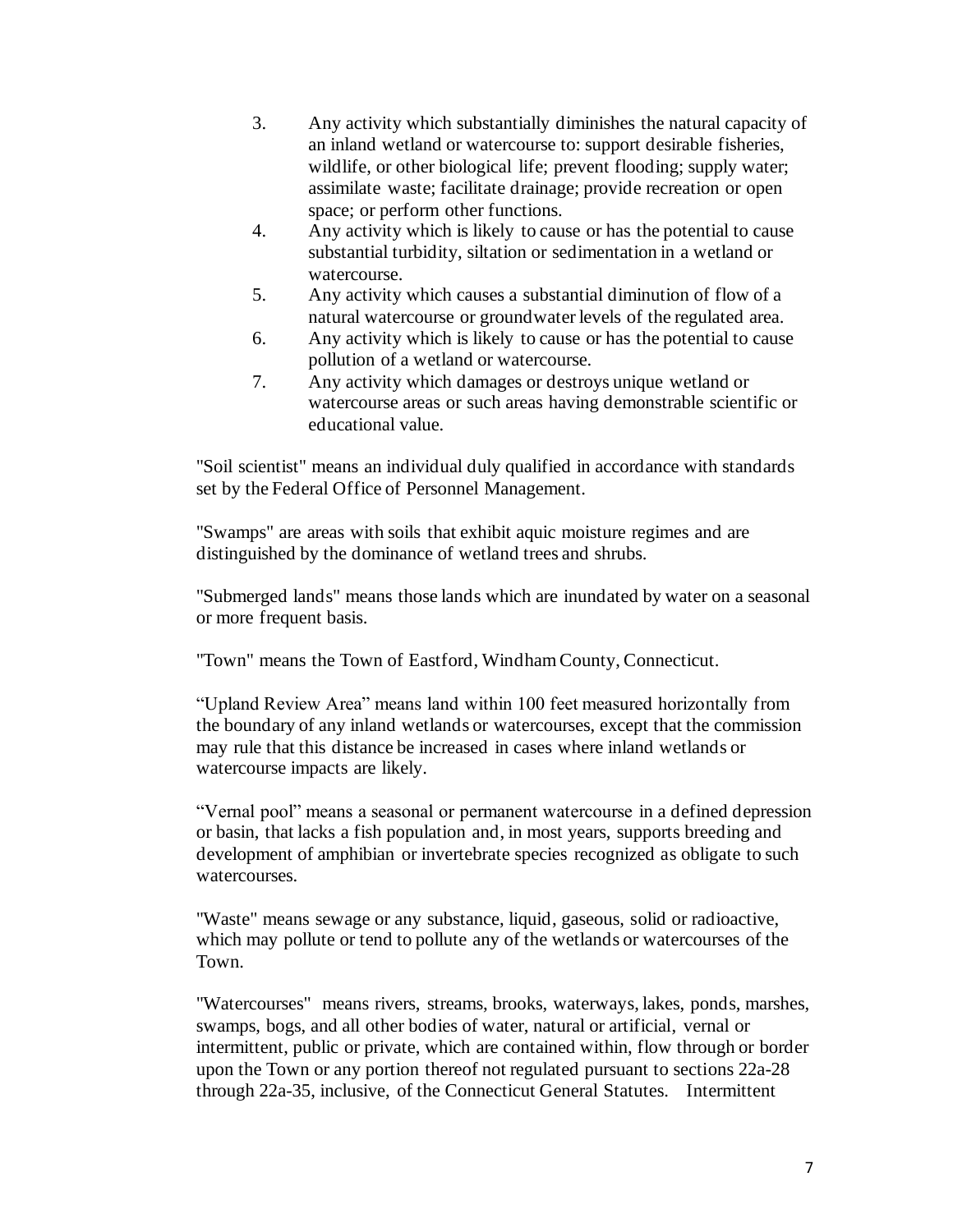- 3. Any activity which substantially diminishes the natural capacity of an inland wetland or watercourse to: support desirable fisheries, wildlife, or other biological life; prevent flooding; supply water; assimilate waste; facilitate drainage; provide recreation or open space; or perform other functions.
- 4. Any activity which is likely to cause or has the potential to cause substantial turbidity, siltation or sedimentation in a wetland or watercourse.
- 5. Any activity which causes a substantial diminution of flow of a natural watercourse or groundwater levels of the regulated area.
- 6. Any activity which is likely to cause or has the potential to cause pollution of a wetland or watercourse.
- 7. Any activity which damages or destroys unique wetland or watercourse areas or such areas having demonstrable scientific or educational value.

"Soil scientist" means an individual duly qualified in accordance with standards set by the Federal Office of Personnel Management.

"Swamps" are areas with soils that exhibit aquic moisture regimes and are distinguished by the dominance of wetland trees and shrubs.

"Submerged lands" means those lands which are inundated by water on a seasonal or more frequent basis.

"Town" means the Town of Eastford, Windham County, Connecticut.

"Upland Review Area" means land within 100 feet measured horizontally from the boundary of any inland wetlands or watercourses, except that the commission may rule that this distance be increased in cases where inland wetlands or watercourse impacts are likely.

"Vernal pool" means a seasonal or permanent watercourse in a defined depression or basin, that lacks a fish population and, in most years, supports breeding and development of amphibian or invertebrate species recognized as obligate to such watercourses.

"Waste" means sewage or any substance, liquid, gaseous, solid or radioactive, which may pollute or tend to pollute any of the wetlands or watercourses of the Town.

"Watercourses" means rivers, streams, brooks, waterways, lakes, ponds, marshes, swamps, bogs, and all other bodies of water, natural or artificial, vernal or intermittent, public or private, which are contained within, flow through or border upon the Town or any portion thereof not regulated pursuant to sections 22a-28 through 22a-35, inclusive, of the Connecticut General Statutes. Intermittent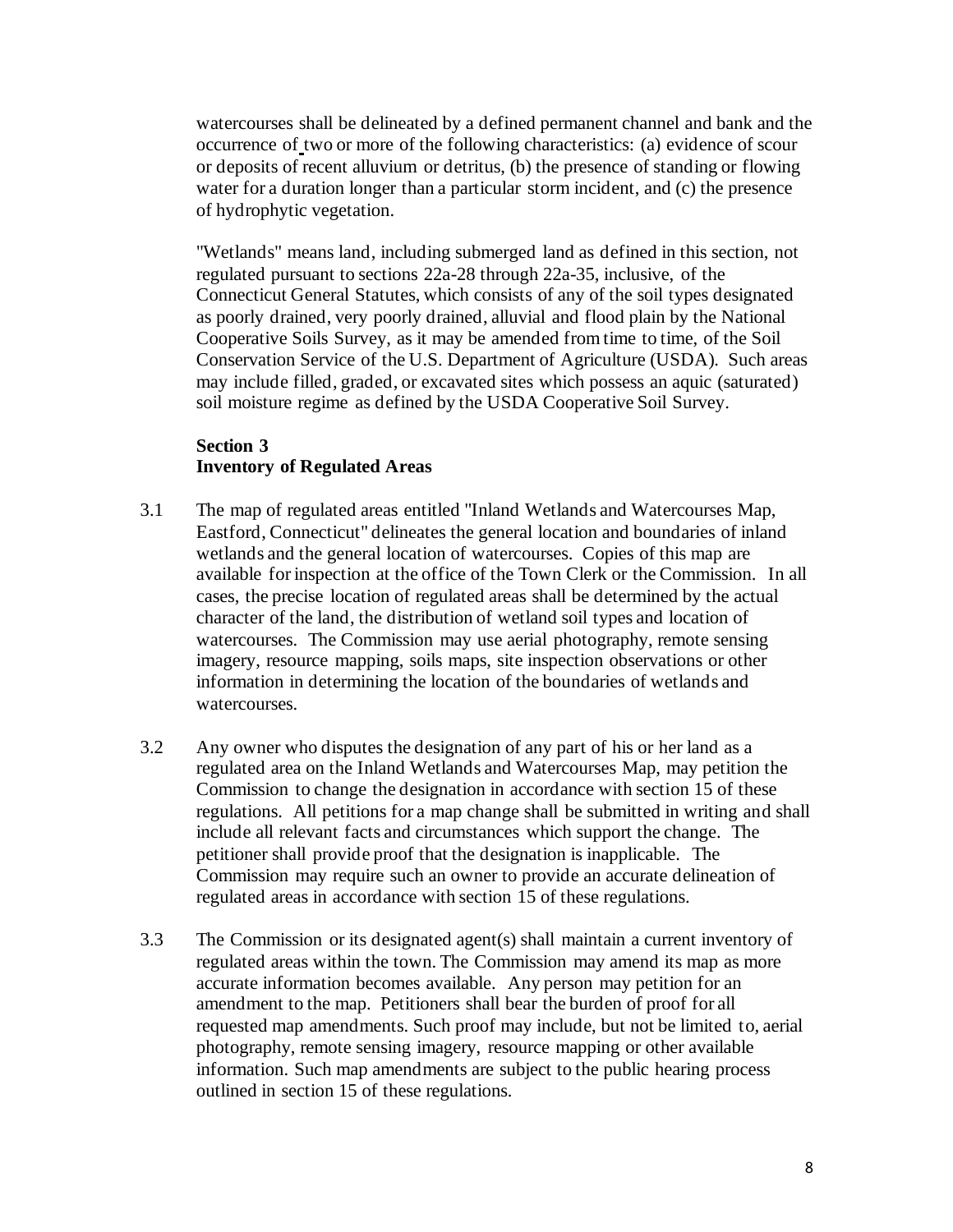watercourses shall be delineated by a defined permanent channel and bank and the occurrence of two or more of the following characteristics: (a) evidence of scour or deposits of recent alluvium or detritus, (b) the presence of standing or flowing water for a duration longer than a particular storm incident, and (c) the presence of hydrophytic vegetation.

"Wetlands" means land, including submerged land as defined in this section, not regulated pursuant to sections 22a-28 through 22a-35, inclusive, of the Connecticut General Statutes, which consists of any of the soil types designated as poorly drained, very poorly drained, alluvial and flood plain by the National Cooperative Soils Survey, as it may be amended from time to time, of the Soil Conservation Service of the U.S. Department of Agriculture (USDA). Such areas may include filled, graded, or excavated sites which possess an aquic (saturated) soil moisture regime as defined by the USDA Cooperative Soil Survey.

### **Section 3 Inventory of Regulated Areas**

- 3.1 The map of regulated areas entitled "Inland Wetlands and Watercourses Map, Eastford, Connecticut" delineates the general location and boundaries of inland wetlands and the general location of watercourses. Copies of this map are available for inspection at the office of the Town Clerk or the Commission. In all cases, the precise location of regulated areas shall be determined by the actual character of the land, the distribution of wetland soil types and location of watercourses. The Commission may use aerial photography, remote sensing imagery, resource mapping, soils maps, site inspection observations or other information in determining the location of the boundaries of wetlands and watercourses.
- 3.2 Any owner who disputes the designation of any part of his or her land as a regulated area on the Inland Wetlands and Watercourses Map, may petition the Commission to change the designation in accordance with section 15 of these regulations. All petitions for a map change shall be submitted in writing and shall include all relevant facts and circumstances which support the change. The petitioner shall provide proof that the designation is inapplicable. The Commission may require such an owner to provide an accurate delineation of regulated areas in accordance with section 15 of these regulations.
- 3.3 The Commission or its designated agent(s) shall maintain a current inventory of regulated areas within the town. The Commission may amend its map as more accurate information becomes available. Any person may petition for an amendment to the map. Petitioners shall bear the burden of proof for all requested map amendments. Such proof may include, but not be limited to, aerial photography, remote sensing imagery, resource mapping or other available information. Such map amendments are subject to the public hearing process outlined in section 15 of these regulations.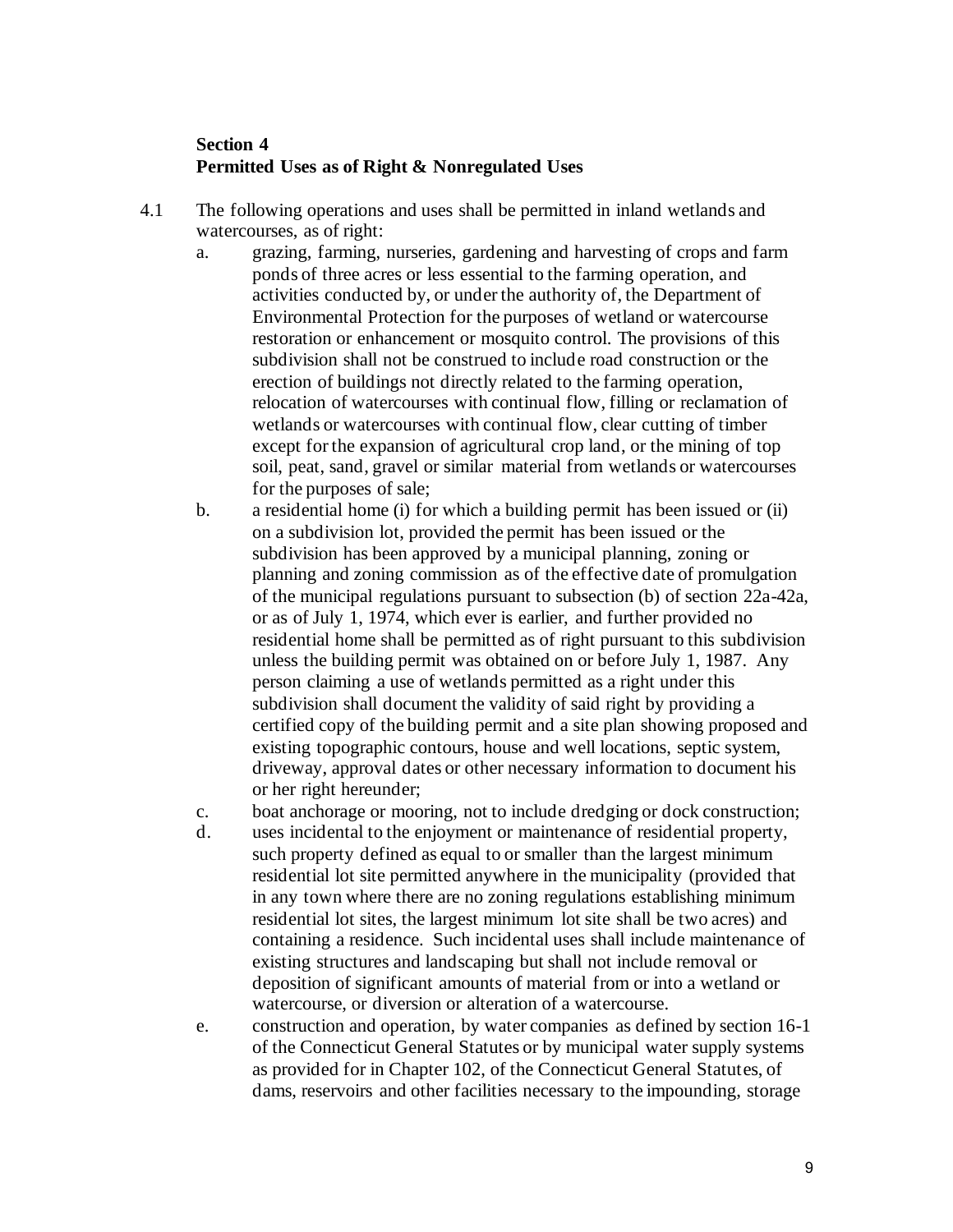# **Section 4 Permitted Uses as of Right & Nonregulated Uses**

- 4.1 The following operations and uses shall be permitted in inland wetlands and watercourses, as of right:
	- a. grazing, farming, nurseries, gardening and harvesting of crops and farm ponds of three acres or less essential to the farming operation, and activities conducted by, or under the authority of, the Department of Environmental Protection for the purposes of wetland or watercourse restoration or enhancement or mosquito control. The provisions of this subdivision shall not be construed to include road construction or the erection of buildings not directly related to the farming operation, relocation of watercourses with continual flow, filling or reclamation of wetlands or watercourses with continual flow, clear cutting of timber except for the expansion of agricultural crop land, or the mining of top soil, peat, sand, gravel or similar material from wetlands or watercourses for the purposes of sale;
	- b. a residential home (i) for which a building permit has been issued or (ii) on a subdivision lot, provided the permit has been issued or the subdivision has been approved by a municipal planning, zoning or planning and zoning commission as of the effective date of promulgation of the municipal regulations pursuant to subsection (b) of section 22a-42a, or as of July 1, 1974, which ever is earlier, and further provided no residential home shall be permitted as of right pursuant to this subdivision unless the building permit was obtained on or before July 1, 1987. Any person claiming a use of wetlands permitted as a right under this subdivision shall document the validity of said right by providing a certified copy of the building permit and a site plan showing proposed and existing topographic contours, house and well locations, septic system, driveway, approval dates or other necessary information to document his or her right hereunder;
	- c. boat anchorage or mooring, not to include dredging or dock construction;
	- d. uses incidental to the enjoyment or maintenance of residential property, such property defined as equal to or smaller than the largest minimum residential lot site permitted anywhere in the municipality (provided that in any town where there are no zoning regulations establishing minimum residential lot sites, the largest minimum lot site shall be two acres) and containing a residence. Such incidental uses shall include maintenance of existing structures and landscaping but shall not include removal or deposition of significant amounts of material from or into a wetland or watercourse, or diversion or alteration of a watercourse.
	- e. construction and operation, by water companies as defined by section 16-1 of the Connecticut General Statutes or by municipal water supply systems as provided for in Chapter 102, of the Connecticut General Statutes, of dams, reservoirs and other facilities necessary to the impounding, storage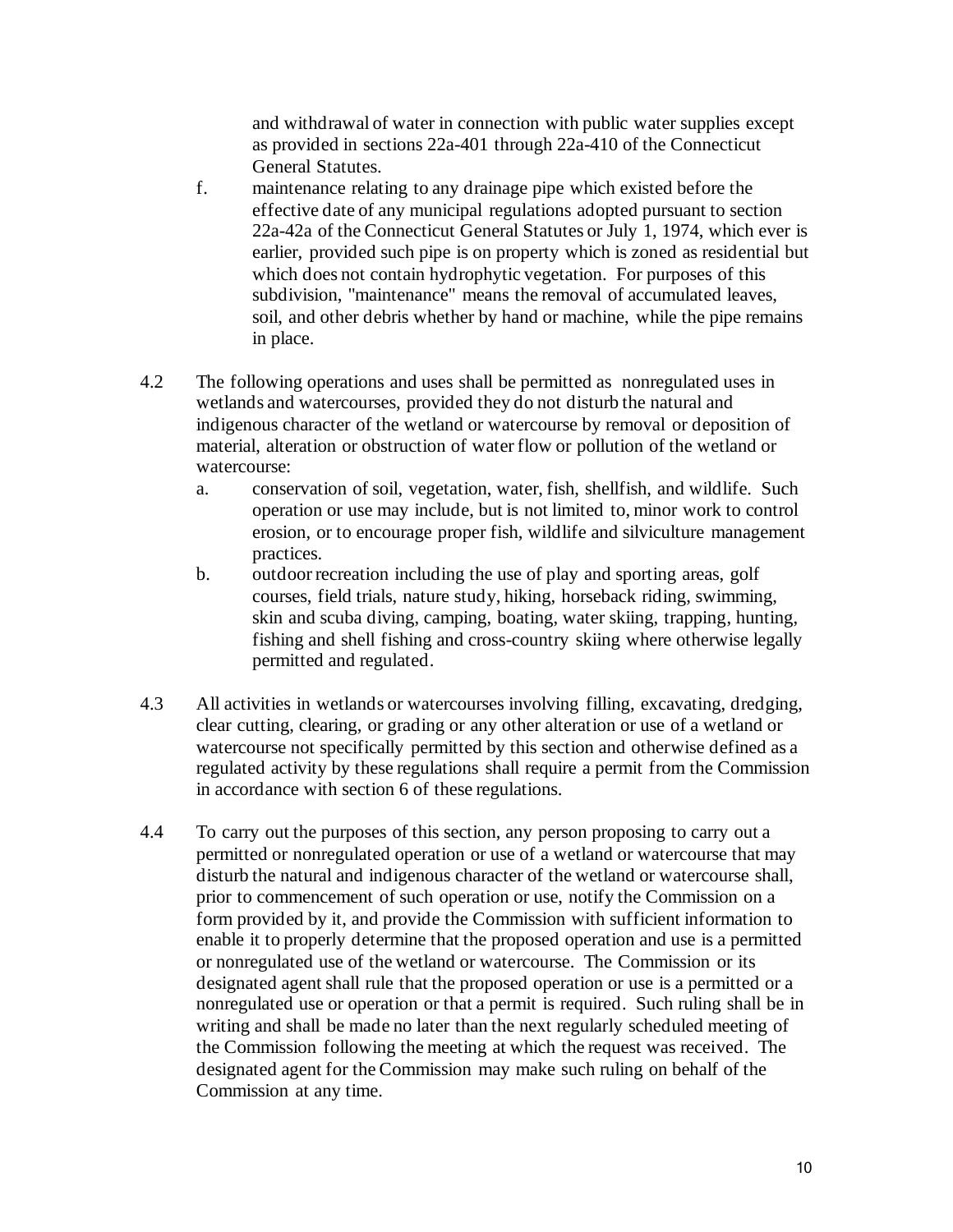and withdrawal of water in connection with public water supplies except as provided in sections 22a-401 through 22a-410 of the Connecticut General Statutes.

- f. maintenance relating to any drainage pipe which existed before the effective date of any municipal regulations adopted pursuant to section 22a-42a of the Connecticut General Statutes or July 1, 1974, which ever is earlier, provided such pipe is on property which is zoned as residential but which does not contain hydrophytic vegetation. For purposes of this subdivision, "maintenance" means the removal of accumulated leaves, soil, and other debris whether by hand or machine, while the pipe remains in place.
- 4.2 The following operations and uses shall be permitted as nonregulated uses in wetlands and watercourses, provided they do not disturb the natural and indigenous character of the wetland or watercourse by removal or deposition of material, alteration or obstruction of water flow or pollution of the wetland or watercourse:
	- a. conservation of soil, vegetation, water, fish, shellfish, and wildlife. Such operation or use may include, but is not limited to, minor work to control erosion, or to encourage proper fish, wildlife and silviculture management practices.
	- b. outdoor recreation including the use of play and sporting areas, golf courses, field trials, nature study, hiking, horseback riding, swimming, skin and scuba diving, camping, boating, water skiing, trapping, hunting, fishing and shell fishing and cross-country skiing where otherwise legally permitted and regulated.
- 4.3 All activities in wetlands or watercourses involving filling, excavating, dredging, clear cutting, clearing, or grading or any other alteration or use of a wetland or watercourse not specifically permitted by this section and otherwise defined as a regulated activity by these regulations shall require a permit from the Commission in accordance with section 6 of these regulations.
- 4.4 To carry out the purposes of this section, any person proposing to carry out a permitted or nonregulated operation or use of a wetland or watercourse that may disturb the natural and indigenous character of the wetland or watercourse shall, prior to commencement of such operation or use, notify the Commission on a form provided by it, and provide the Commission with sufficient information to enable it to properly determine that the proposed operation and use is a permitted or nonregulated use of the wetland or watercourse. The Commission or its designated agent shall rule that the proposed operation or use is a permitted or a nonregulated use or operation or that a permit is required. Such ruling shall be in writing and shall be made no later than the next regularly scheduled meeting of the Commission following the meeting at which the request was received. The designated agent for the Commission may make such ruling on behalf of the Commission at any time.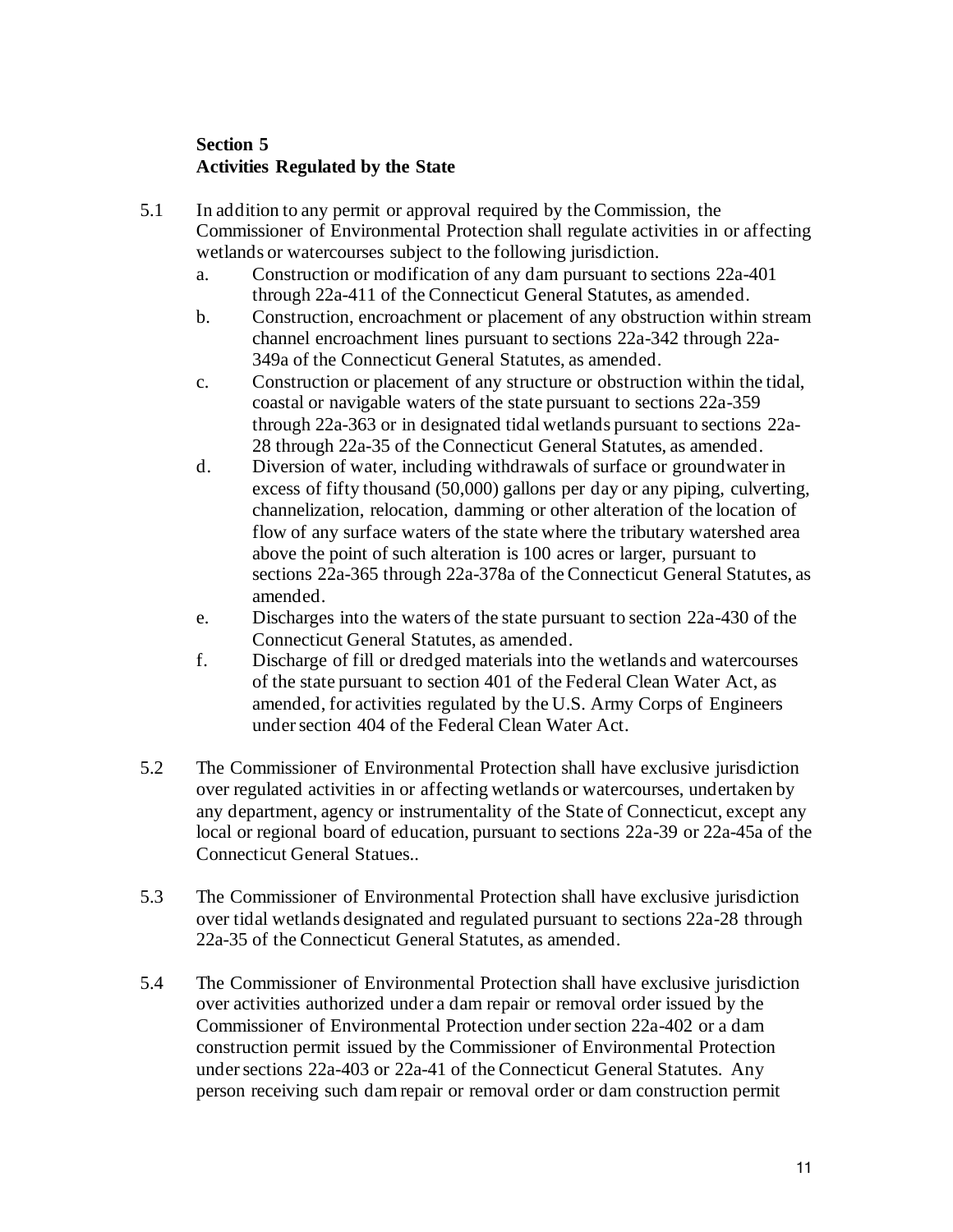# **Section 5 Activities Regulated by the State**

- 5.1 In addition to any permit or approval required by the Commission, the Commissioner of Environmental Protection shall regulate activities in or affecting wetlands or watercourses subject to the following jurisdiction.
	- a. Construction or modification of any dam pursuant to sections 22a-401 through 22a-411 of the Connecticut General Statutes, as amended.
	- b. Construction, encroachment or placement of any obstruction within stream channel encroachment lines pursuant to sections 22a-342 through 22a-349a of the Connecticut General Statutes, as amended.
	- c. Construction or placement of any structure or obstruction within the tidal, coastal or navigable waters of the state pursuant to sections 22a-359 through 22a-363 or in designated tidal wetlands pursuant to sections 22a-28 through 22a-35 of the Connecticut General Statutes, as amended.
	- d. Diversion of water, including withdrawals of surface or groundwater in excess of fifty thousand (50,000) gallons per day or any piping, culverting, channelization, relocation, damming or other alteration of the location of flow of any surface waters of the state where the tributary watershed area above the point of such alteration is 100 acres or larger, pursuant to sections 22a-365 through 22a-378a of the Connecticut General Statutes, as amended.
	- e. Discharges into the waters of the state pursuant to section 22a-430 of the Connecticut General Statutes, as amended.
	- f. Discharge of fill or dredged materials into the wetlands and watercourses of the state pursuant to section 401 of the Federal Clean Water Act, as amended, for activities regulated by the U.S. Army Corps of Engineers under section 404 of the Federal Clean Water Act.
- 5.2 The Commissioner of Environmental Protection shall have exclusive jurisdiction over regulated activities in or affecting wetlands or watercourses, undertaken by any department, agency or instrumentality of the State of Connecticut, except any local or regional board of education, pursuant to sections 22a-39 or 22a-45a of the Connecticut General Statues..
- 5.3 The Commissioner of Environmental Protection shall have exclusive jurisdiction over tidal wetlands designated and regulated pursuant to sections 22a-28 through 22a-35 of the Connecticut General Statutes, as amended.
- 5.4 The Commissioner of Environmental Protection shall have exclusive jurisdiction over activities authorized under a dam repair or removal order issued by the Commissioner of Environmental Protection under section 22a-402 or a dam construction permit issued by the Commissioner of Environmental Protection under sections 22a-403 or 22a-41 of the Connecticut General Statutes. Any person receiving such dam repair or removal order or dam construction permit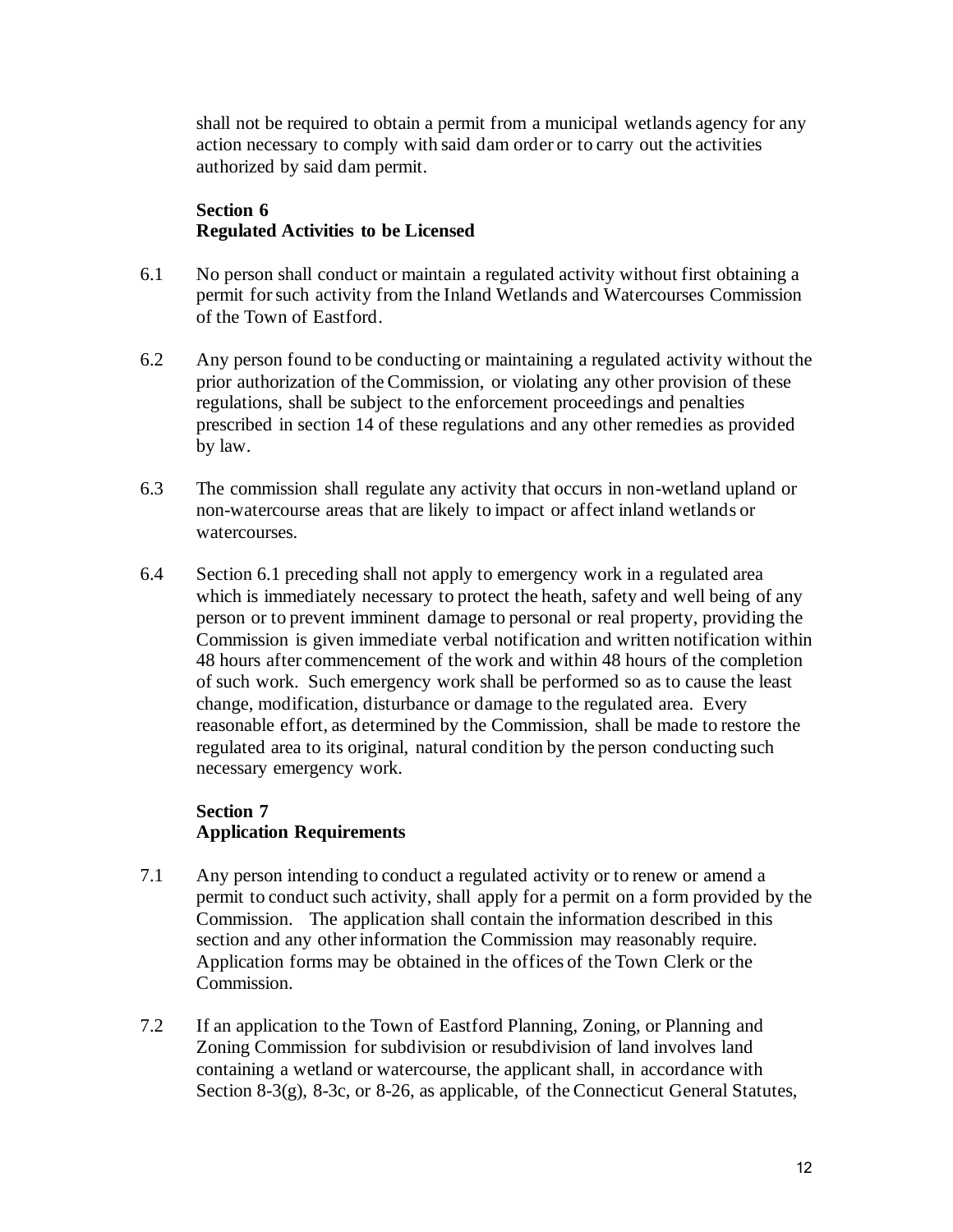shall not be required to obtain a permit from a municipal wetlands agency for any action necessary to comply with said dam order or to carry out the activities authorized by said dam permit.

### **Section 6 Regulated Activities to be Licensed**

- 6.1 No person shall conduct or maintain a regulated activity without first obtaining a permit for such activity from the Inland Wetlands and Watercourses Commission of the Town of Eastford.
- 6.2 Any person found to be conducting or maintaining a regulated activity without the prior authorization of the Commission, or violating any other provision of these regulations, shall be subject to the enforcement proceedings and penalties prescribed in section 14 of these regulations and any other remedies as provided by law.
- 6.3 The commission shall regulate any activity that occurs in non-wetland upland or non-watercourse areas that are likely to impact or affect inland wetlands or watercourses.
- 6.4 Section 6.1 preceding shall not apply to emergency work in a regulated area which is immediately necessary to protect the heath, safety and well being of any person or to prevent imminent damage to personal or real property, providing the Commission is given immediate verbal notification and written notification within 48 hours after commencement of the work and within 48 hours of the completion of such work. Such emergency work shall be performed so as to cause the least change, modification, disturbance or damage to the regulated area. Every reasonable effort, as determined by the Commission, shall be made to restore the regulated area to its original, natural condition by the person conducting such necessary emergency work.

# **Section 7 Application Requirements**

- 7.1 Any person intending to conduct a regulated activity or to renew or amend a permit to conduct such activity, shall apply for a permit on a form provided by the Commission. The application shall contain the information described in this section and any other information the Commission may reasonably require. Application forms may be obtained in the offices of the Town Clerk or the Commission.
- 7.2 If an application to the Town of Eastford Planning, Zoning, or Planning and Zoning Commission for subdivision or resubdivision of land involves land containing a wetland or watercourse, the applicant shall, in accordance with Section 8-3(g), 8-3c, or 8-26, as applicable, of the Connecticut General Statutes,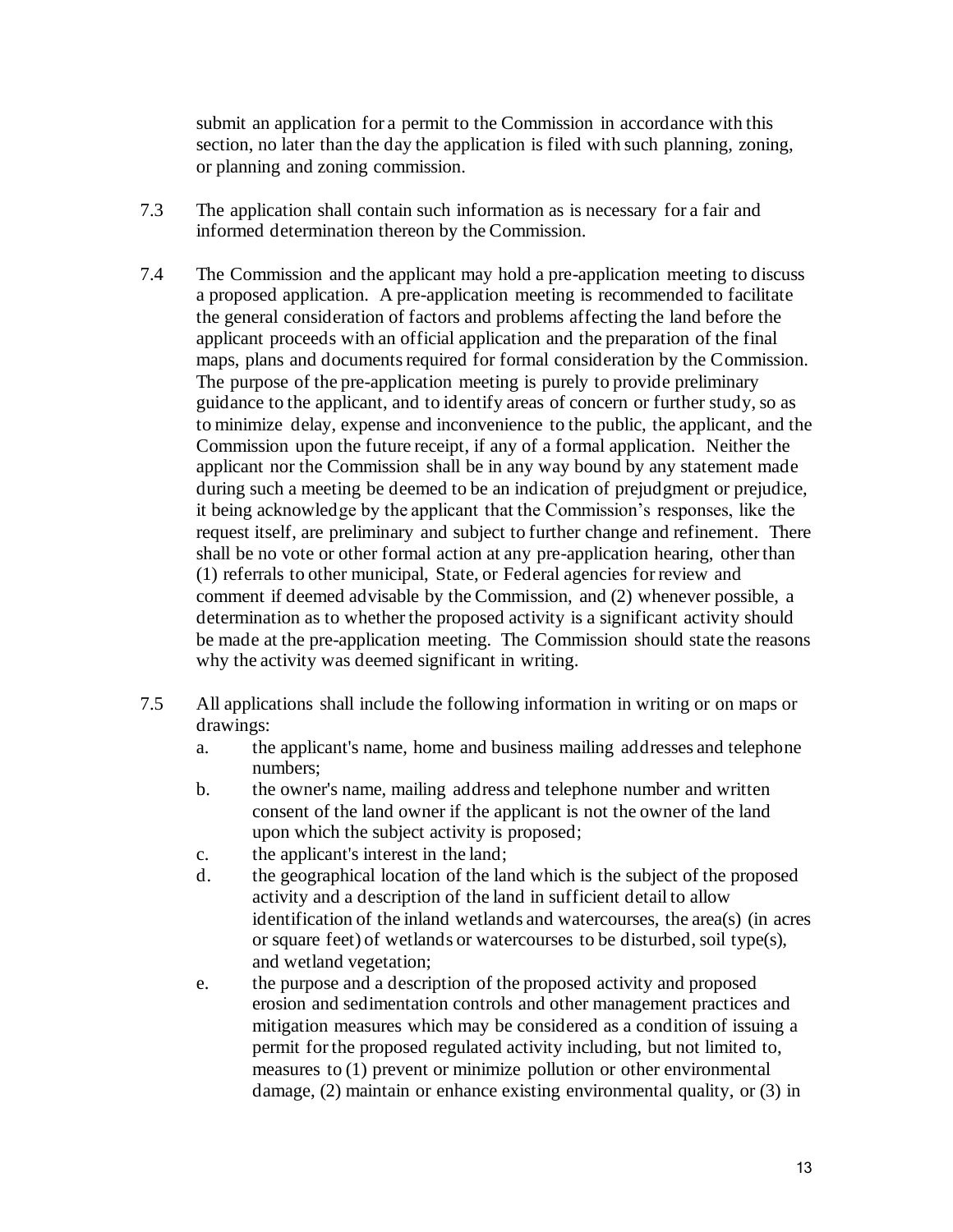submit an application for a permit to the Commission in accordance with this section, no later than the day the application is filed with such planning, zoning, or planning and zoning commission.

- 7.3 The application shall contain such information as is necessary for a fair and informed determination thereon by the Commission.
- 7.4 The Commission and the applicant may hold a pre-application meeting to discuss a proposed application. A pre-application meeting is recommended to facilitate the general consideration of factors and problems affecting the land before the applicant proceeds with an official application and the preparation of the final maps, plans and documents required for formal consideration by the Commission. The purpose of the pre-application meeting is purely to provide preliminary guidance to the applicant, and to identify areas of concern or further study, so as to minimize delay, expense and inconvenience to the public, the applicant, and the Commission upon the future receipt, if any of a formal application. Neither the applicant nor the Commission shall be in any way bound by any statement made during such a meeting be deemed to be an indication of prejudgment or prejudice, it being acknowledge by the applicant that the Commission's responses, like the request itself, are preliminary and subject to further change and refinement. There shall be no vote or other formal action at any pre-application hearing, other than (1) referrals to other municipal, State, or Federal agencies for review and comment if deemed advisable by the Commission, and (2) whenever possible, a determination as to whether the proposed activity is a significant activity should be made at the pre-application meeting. The Commission should state the reasons why the activity was deemed significant in writing.
- 7.5 All applications shall include the following information in writing or on maps or drawings:
	- a. the applicant's name, home and business mailing addresses and telephone numbers;
	- b. the owner's name, mailing address and telephone number and written consent of the land owner if the applicant is not the owner of the land upon which the subject activity is proposed;
	- c. the applicant's interest in the land;
	- d. the geographical location of the land which is the subject of the proposed activity and a description of the land in sufficient detail to allow identification of the inland wetlands and watercourses, the area(s) (in acres or square feet) of wetlands or watercourses to be disturbed, soil type(s), and wetland vegetation;
	- e. the purpose and a description of the proposed activity and proposed erosion and sedimentation controls and other management practices and mitigation measures which may be considered as a condition of issuing a permit for the proposed regulated activity including, but not limited to, measures to (1) prevent or minimize pollution or other environmental damage, (2) maintain or enhance existing environmental quality, or (3) in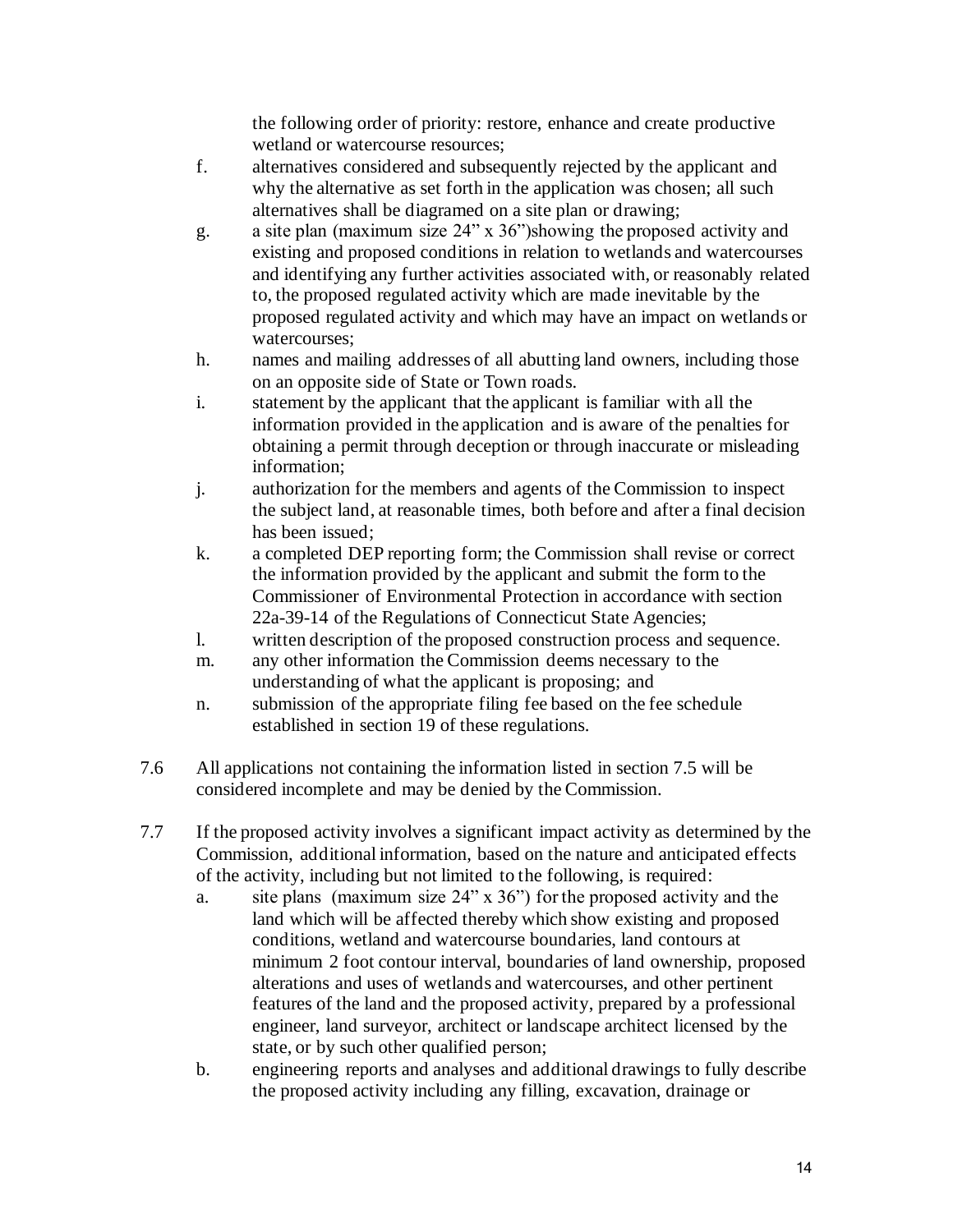the following order of priority: restore, enhance and create productive wetland or watercourse resources;

- f. alternatives considered and subsequently rejected by the applicant and why the alternative as set forth in the application was chosen; all such alternatives shall be diagramed on a site plan or drawing;
- g. a site plan (maximum size 24" x 36")showing the proposed activity and existing and proposed conditions in relation to wetlands and watercourses and identifying any further activities associated with, or reasonably related to, the proposed regulated activity which are made inevitable by the proposed regulated activity and which may have an impact on wetlands or watercourses;
- h. names and mailing addresses of all abutting land owners, including those on an opposite side of State or Town roads.
- i. statement by the applicant that the applicant is familiar with all the information provided in the application and is aware of the penalties for obtaining a permit through deception or through inaccurate or misleading information;
- j. authorization for the members and agents of the Commission to inspect the subject land, at reasonable times, both before and after a final decision has been issued;
- k. a completed DEP reporting form; the Commission shall revise or correct the information provided by the applicant and submit the form to the Commissioner of Environmental Protection in accordance with section 22a-39-14 of the Regulations of Connecticut State Agencies;
- l. written description of the proposed construction process and sequence.
- m. any other information the Commission deems necessary to the understanding of what the applicant is proposing; and
- n. submission of the appropriate filing fee based on the fee schedule established in section 19 of these regulations.
- 7.6 All applications not containing the information listed in section 7.5 will be considered incomplete and may be denied by the Commission.
- 7.7 If the proposed activity involves a significant impact activity as determined by the Commission, additional information, based on the nature and anticipated effects of the activity, including but not limited to the following, is required:
	- a. site plans (maximum size 24" x 36") for the proposed activity and the land which will be affected thereby which show existing and proposed conditions, wetland and watercourse boundaries, land contours at minimum 2 foot contour interval, boundaries of land ownership, proposed alterations and uses of wetlands and watercourses, and other pertinent features of the land and the proposed activity, prepared by a professional engineer, land surveyor, architect or landscape architect licensed by the state, or by such other qualified person;
	- b. engineering reports and analyses and additional drawings to fully describe the proposed activity including any filling, excavation, drainage or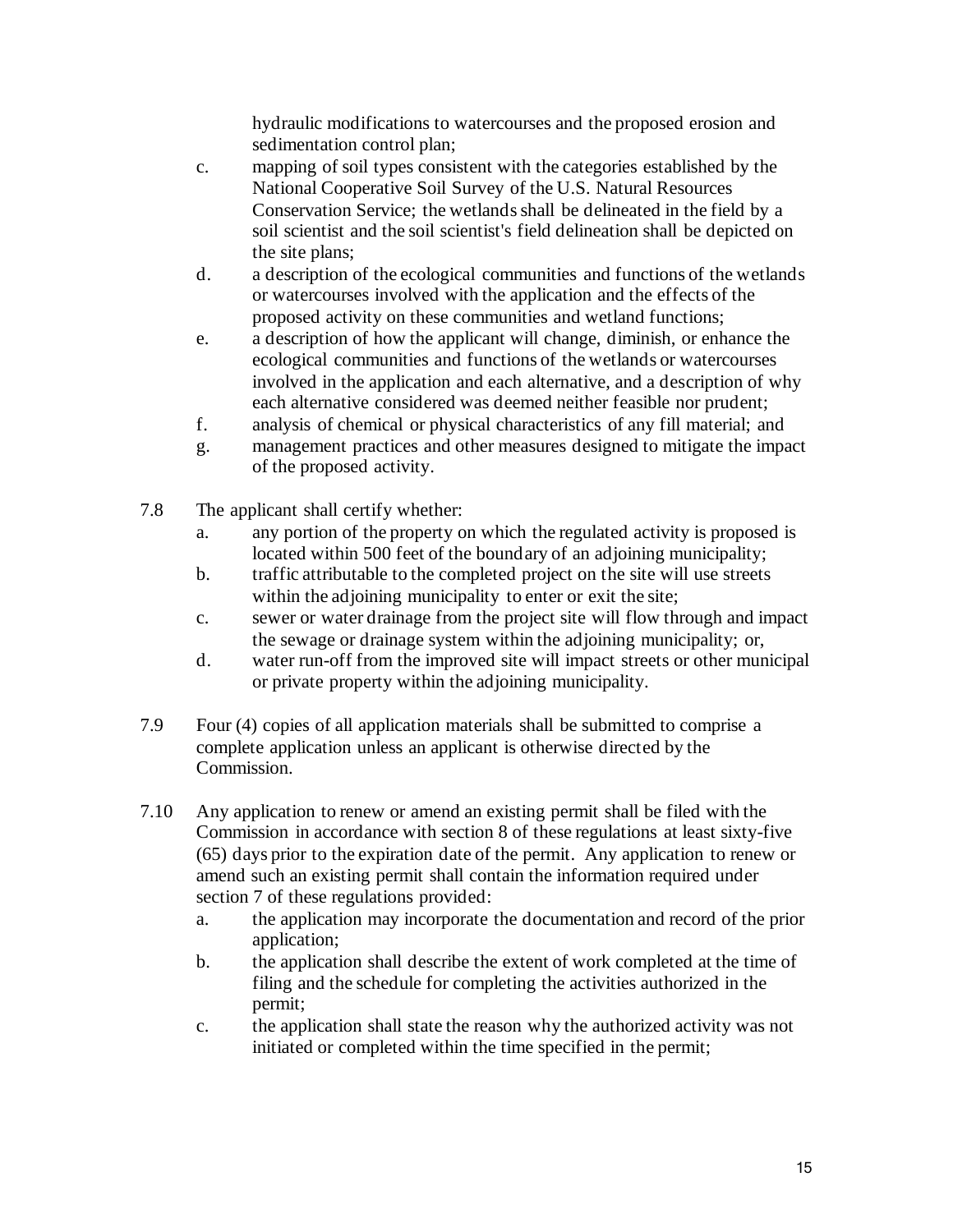hydraulic modifications to watercourses and the proposed erosion and sedimentation control plan;

- c. mapping of soil types consistent with the categories established by the National Cooperative Soil Survey of the U.S. Natural Resources Conservation Service; the wetlands shall be delineated in the field by a soil scientist and the soil scientist's field delineation shall be depicted on the site plans;
- d. a description of the ecological communities and functions of the wetlands or watercourses involved with the application and the effects of the proposed activity on these communities and wetland functions;
- e. a description of how the applicant will change, diminish, or enhance the ecological communities and functions of the wetlands or watercourses involved in the application and each alternative, and a description of why each alternative considered was deemed neither feasible nor prudent;
- f. analysis of chemical or physical characteristics of any fill material; and
- g. management practices and other measures designed to mitigate the impact of the proposed activity.
- 7.8 The applicant shall certify whether:
	- a. any portion of the property on which the regulated activity is proposed is located within 500 feet of the boundary of an adjoining municipality;
	- b. traffic attributable to the completed project on the site will use streets within the adjoining municipality to enter or exit the site;
	- c. sewer or water drainage from the project site will flow through and impact the sewage or drainage system within the adjoining municipality; or,
	- d. water run-off from the improved site will impact streets or other municipal or private property within the adjoining municipality.
- 7.9 Four (4) copies of all application materials shall be submitted to comprise a complete application unless an applicant is otherwise directed by the Commission.
- 7.10 Any application to renew or amend an existing permit shall be filed with the Commission in accordance with section 8 of these regulations at least sixty-five (65) days prior to the expiration date of the permit. Any application to renew or amend such an existing permit shall contain the information required under section 7 of these regulations provided:
	- a. the application may incorporate the documentation and record of the prior application;
	- b. the application shall describe the extent of work completed at the time of filing and the schedule for completing the activities authorized in the permit;
	- c. the application shall state the reason why the authorized activity was not initiated or completed within the time specified in the permit;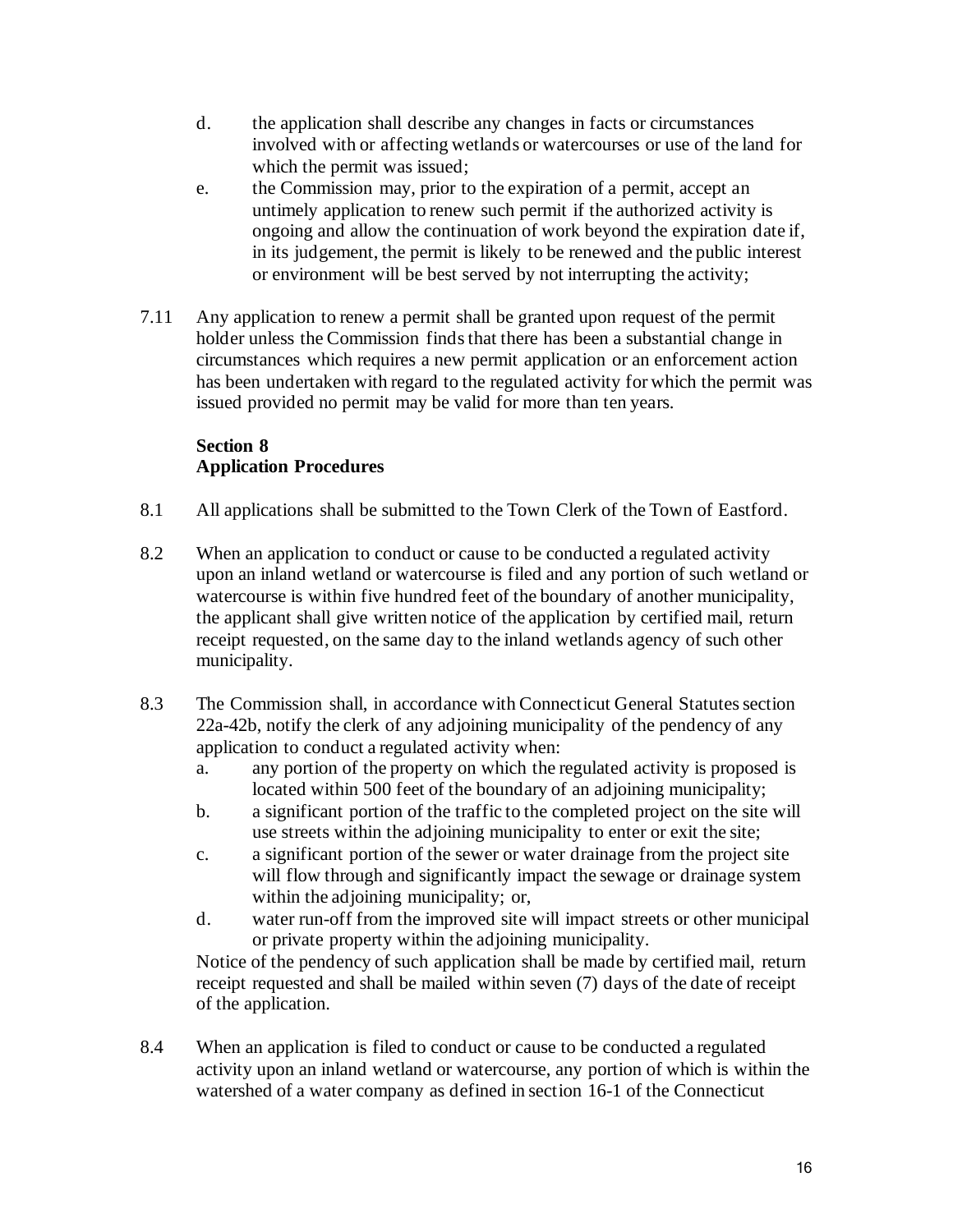- d. the application shall describe any changes in facts or circumstances involved with or affecting wetlands or watercourses or use of the land for which the permit was issued;
- e. the Commission may, prior to the expiration of a permit, accept an untimely application to renew such permit if the authorized activity is ongoing and allow the continuation of work beyond the expiration date if, in its judgement, the permit is likely to be renewed and the public interest or environment will be best served by not interrupting the activity;
- 7.11 Any application to renew a permit shall be granted upon request of the permit holder unless the Commission finds that there has been a substantial change in circumstances which requires a new permit application or an enforcement action has been undertaken with regard to the regulated activity for which the permit was issued provided no permit may be valid for more than ten years.

# **Section 8 Application Procedures**

- 8.1 All applications shall be submitted to the Town Clerk of the Town of Eastford.
- 8.2 When an application to conduct or cause to be conducted a regulated activity upon an inland wetland or watercourse is filed and any portion of such wetland or watercourse is within five hundred feet of the boundary of another municipality, the applicant shall give written notice of the application by certified mail, return receipt requested, on the same day to the inland wetlands agency of such other municipality.
- 8.3 The Commission shall, in accordance with Connecticut General Statutes section 22a-42b, notify the clerk of any adjoining municipality of the pendency of any application to conduct a regulated activity when:
	- a. any portion of the property on which the regulated activity is proposed is located within 500 feet of the boundary of an adjoining municipality;
	- b. a significant portion of the traffic to the completed project on the site will use streets within the adjoining municipality to enter or exit the site;
	- c. a significant portion of the sewer or water drainage from the project site will flow through and significantly impact the sewage or drainage system within the adjoining municipality; or,
	- d. water run-off from the improved site will impact streets or other municipal or private property within the adjoining municipality.

 Notice of the pendency of such application shall be made by certified mail, return receipt requested and shall be mailed within seven (7) days of the date of receipt of the application.

8.4 When an application is filed to conduct or cause to be conducted a regulated activity upon an inland wetland or watercourse, any portion of which is within the watershed of a water company as defined in section 16-1 of the Connecticut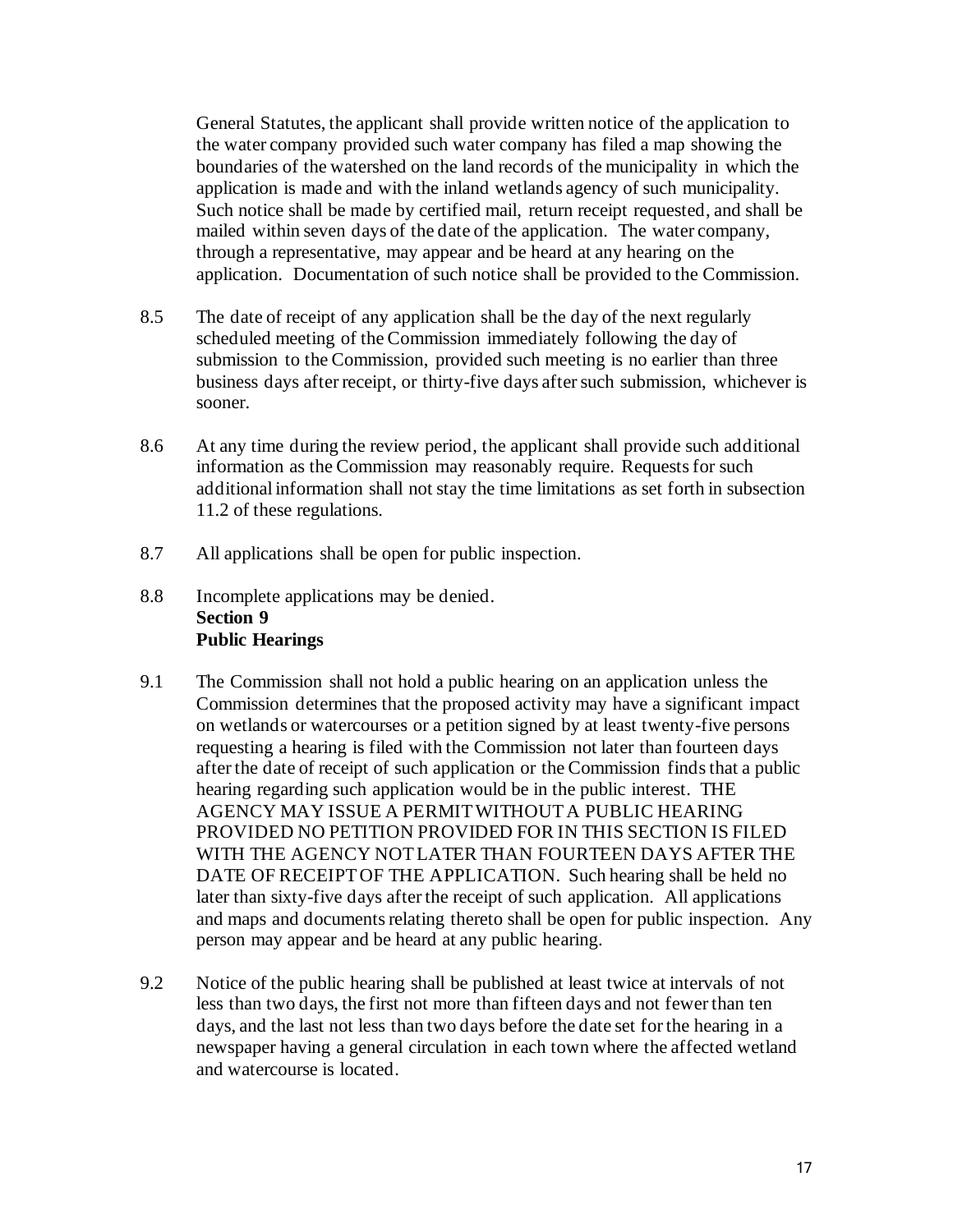General Statutes, the applicant shall provide written notice of the application to the water company provided such water company has filed a map showing the boundaries of the watershed on the land records of the municipality in which the application is made and with the inland wetlands agency of such municipality. Such notice shall be made by certified mail, return receipt requested, and shall be mailed within seven days of the date of the application. The water company, through a representative, may appear and be heard at any hearing on the application. Documentation of such notice shall be provided to the Commission.

- 8.5 The date of receipt of any application shall be the day of the next regularly scheduled meeting of the Commission immediately following the day of submission to the Commission, provided such meeting is no earlier than three business days after receipt, or thirty-five days after such submission, whichever is sooner.
- 8.6 At any time during the review period, the applicant shall provide such additional information as the Commission may reasonably require. Requests for such additional information shall not stay the time limitations as set forth in subsection 11.2 of these regulations.
- 8.7 All applications shall be open for public inspection.
- 8.8 Incomplete applications may be denied. **Section 9 Public Hearings**
- 9.1 The Commission shall not hold a public hearing on an application unless the Commission determines that the proposed activity may have a significant impact on wetlands or watercourses or a petition signed by at least twenty-five persons requesting a hearing is filed with the Commission not later than fourteen days after the date of receipt of such application or the Commission finds that a public hearing regarding such application would be in the public interest. THE AGENCY MAY ISSUE A PERMIT WITHOUT A PUBLIC HEARING PROVIDED NO PETITION PROVIDED FOR IN THIS SECTION IS FILED WITH THE AGENCY NOT LATER THAN FOURTEEN DAYS AFTER THE DATE OF RECEIPT OF THE APPLICATION. Such hearing shall be held no later than sixty-five days after the receipt of such application. All applications and maps and documents relating thereto shall be open for public inspection. Any person may appear and be heard at any public hearing.
- 9.2 Notice of the public hearing shall be published at least twice at intervals of not less than two days, the first not more than fifteen days and not fewer than ten days, and the last not less than two days before the date set for the hearing in a newspaper having a general circulation in each town where the affected wetland and watercourse is located.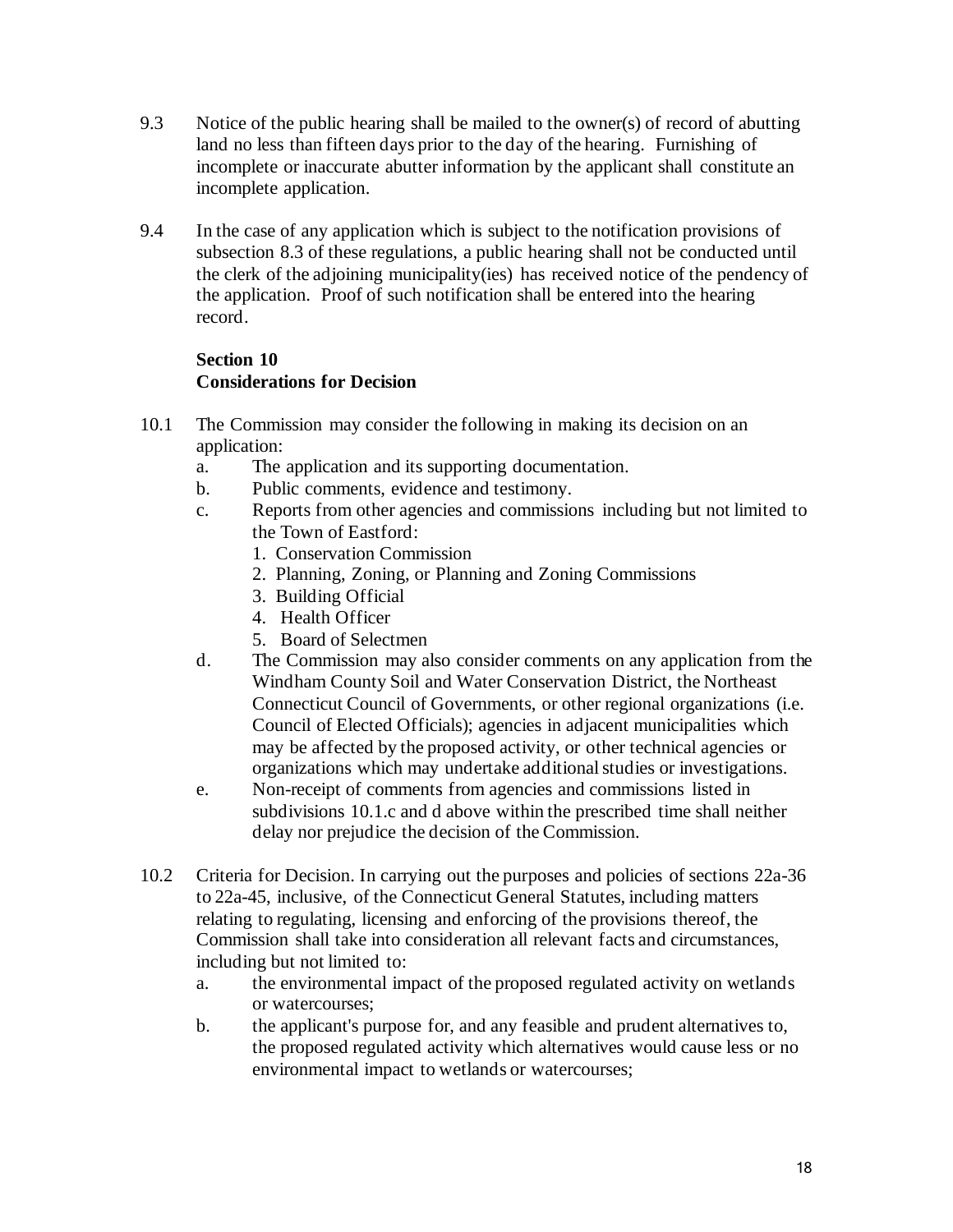- 9.3 Notice of the public hearing shall be mailed to the owner(s) of record of abutting land no less than fifteen days prior to the day of the hearing. Furnishing of incomplete or inaccurate abutter information by the applicant shall constitute an incomplete application.
- 9.4 In the case of any application which is subject to the notification provisions of subsection 8.3 of these regulations, a public hearing shall not be conducted until the clerk of the adjoining municipality(ies) has received notice of the pendency of the application. Proof of such notification shall be entered into the hearing record.

### **Section 10 Considerations for Decision**

- 10.1 The Commission may consider the following in making its decision on an application:
	- a. The application and its supporting documentation.
	- b. Public comments, evidence and testimony.
	- c. Reports from other agencies and commissions including but not limited to the Town of Eastford:
		- 1. Conservation Commission
		- 2. Planning, Zoning, or Planning and Zoning Commissions
		- 3. Building Official
		- 4. Health Officer
		- 5. Board of Selectmen
	- d. The Commission may also consider comments on any application from the Windham County Soil and Water Conservation District, the Northeast Connecticut Council of Governments, or other regional organizations (i.e. Council of Elected Officials); agencies in adjacent municipalities which may be affected by the proposed activity, or other technical agencies or organizations which may undertake additional studies or investigations.
	- e. Non-receipt of comments from agencies and commissions listed in subdivisions 10.1.c and d above within the prescribed time shall neither delay nor prejudice the decision of the Commission.
- 10.2 Criteria for Decision. In carrying out the purposes and policies of sections 22a-36 to 22a-45, inclusive, of the Connecticut General Statutes, including matters relating to regulating, licensing and enforcing of the provisions thereof, the Commission shall take into consideration all relevant facts and circumstances, including but not limited to:
	- a. the environmental impact of the proposed regulated activity on wetlands or watercourses;
	- b. the applicant's purpose for, and any feasible and prudent alternatives to, the proposed regulated activity which alternatives would cause less or no environmental impact to wetlands or watercourses;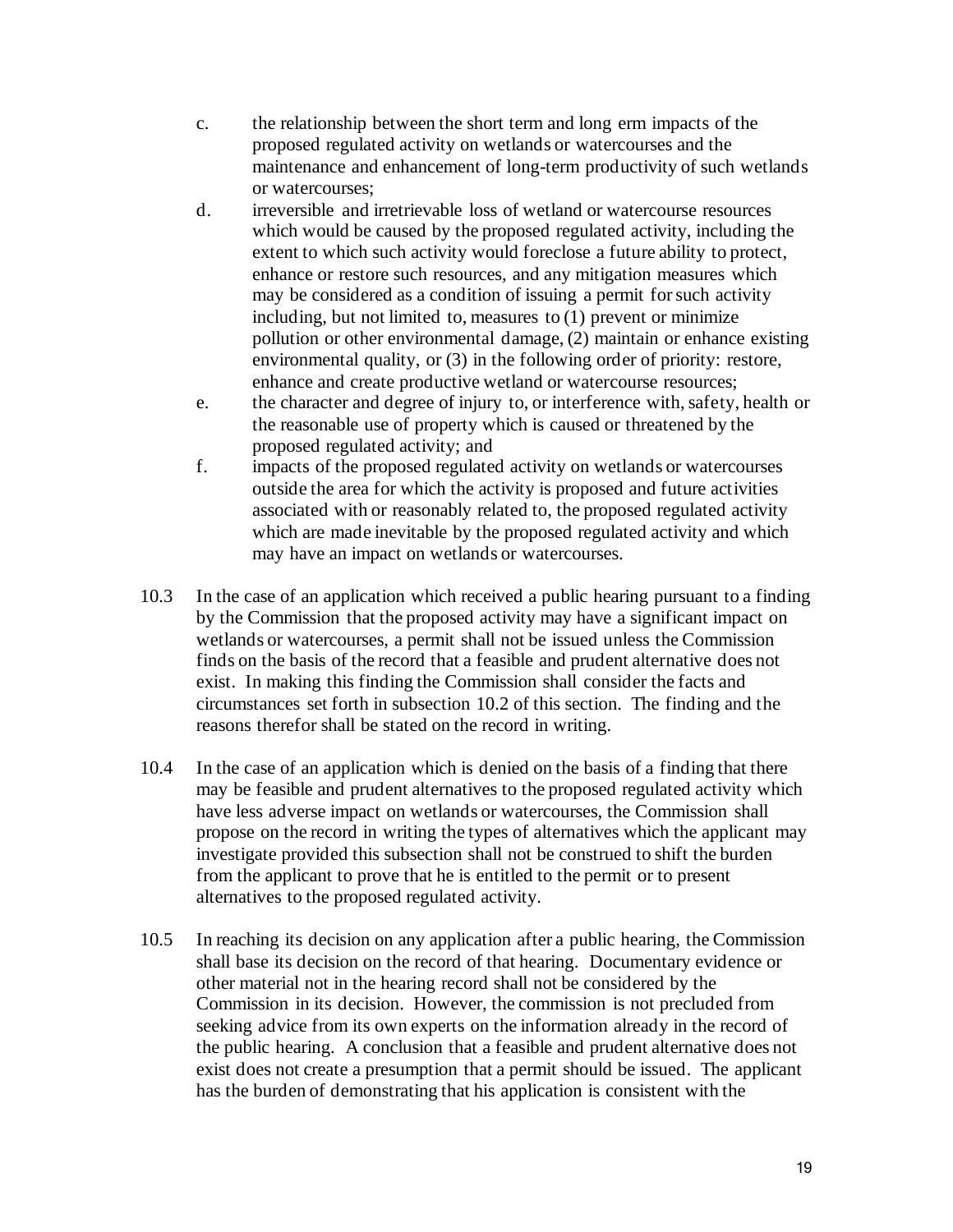- c. the relationship between the short term and long erm impacts of the proposed regulated activity on wetlands or watercourses and the maintenance and enhancement of long-term productivity of such wetlands or watercourses;
- d. irreversible and irretrievable loss of wetland or watercourse resources which would be caused by the proposed regulated activity, including the extent to which such activity would foreclose a future ability to protect, enhance or restore such resources, and any mitigation measures which may be considered as a condition of issuing a permit for such activity including, but not limited to, measures to (1) prevent or minimize pollution or other environmental damage, (2) maintain or enhance existing environmental quality, or (3) in the following order of priority: restore, enhance and create productive wetland or watercourse resources;
- e. the character and degree of injury to, or interference with, safety, health or the reasonable use of property which is caused or threatened by the proposed regulated activity; and
- f. impacts of the proposed regulated activity on wetlands or watercourses outside the area for which the activity is proposed and future activities associated with or reasonably related to, the proposed regulated activity which are made inevitable by the proposed regulated activity and which may have an impact on wetlands or watercourses.
- 10.3 In the case of an application which received a public hearing pursuant to a finding by the Commission that the proposed activity may have a significant impact on wetlands or watercourses, a permit shall not be issued unless the Commission finds on the basis of the record that a feasible and prudent alternative does not exist. In making this finding the Commission shall consider the facts and circumstances set forth in subsection 10.2 of this section. The finding and the reasons therefor shall be stated on the record in writing.
- 10.4 In the case of an application which is denied on the basis of a finding that there may be feasible and prudent alternatives to the proposed regulated activity which have less adverse impact on wetlands or watercourses, the Commission shall propose on the record in writing the types of alternatives which the applicant may investigate provided this subsection shall not be construed to shift the burden from the applicant to prove that he is entitled to the permit or to present alternatives to the proposed regulated activity.
- 10.5 In reaching its decision on any application after a public hearing, the Commission shall base its decision on the record of that hearing. Documentary evidence or other material not in the hearing record shall not be considered by the Commission in its decision. However, the commission is not precluded from seeking advice from its own experts on the information already in the record of the public hearing. A conclusion that a feasible and prudent alternative does not exist does not create a presumption that a permit should be issued. The applicant has the burden of demonstrating that his application is consistent with the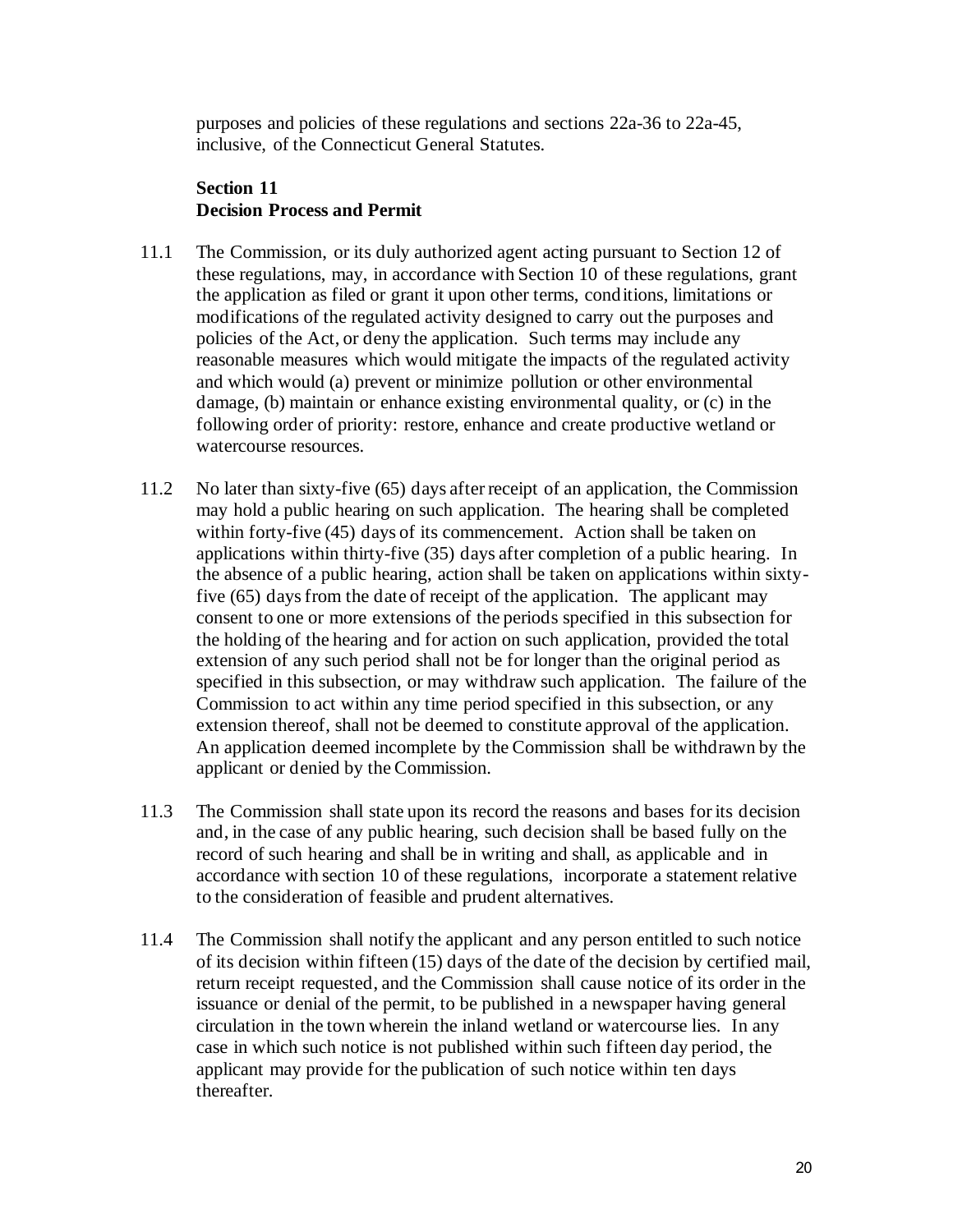purposes and policies of these regulations and sections 22a-36 to 22a-45, inclusive, of the Connecticut General Statutes.

### **Section 11 Decision Process and Permit**

- 11.1 The Commission, or its duly authorized agent acting pursuant to Section 12 of these regulations, may, in accordance with Section 10 of these regulations, grant the application as filed or grant it upon other terms, conditions, limitations or modifications of the regulated activity designed to carry out the purposes and policies of the Act, or deny the application. Such terms may include any reasonable measures which would mitigate the impacts of the regulated activity and which would (a) prevent or minimize pollution or other environmental damage, (b) maintain or enhance existing environmental quality, or (c) in the following order of priority: restore, enhance and create productive wetland or watercourse resources.
- 11.2 No later than sixty-five (65) days after receipt of an application, the Commission may hold a public hearing on such application. The hearing shall be completed within forty-five (45) days of its commencement. Action shall be taken on applications within thirty-five (35) days after completion of a public hearing. In the absence of a public hearing, action shall be taken on applications within sixtyfive (65) days from the date of receipt of the application. The applicant may consent to one or more extensions of the periods specified in this subsection for the holding of the hearing and for action on such application, provided the total extension of any such period shall not be for longer than the original period as specified in this subsection, or may withdraw such application. The failure of the Commission to act within any time period specified in this subsection, or any extension thereof, shall not be deemed to constitute approval of the application. An application deemed incomplete by the Commission shall be withdrawn by the applicant or denied by the Commission.
- 11.3 The Commission shall state upon its record the reasons and bases for its decision and, in the case of any public hearing, such decision shall be based fully on the record of such hearing and shall be in writing and shall, as applicable and in accordance with section 10 of these regulations, incorporate a statement relative to the consideration of feasible and prudent alternatives.
- 11.4 The Commission shall notify the applicant and any person entitled to such notice of its decision within fifteen (15) days of the date of the decision by certified mail, return receipt requested, and the Commission shall cause notice of its order in the issuance or denial of the permit, to be published in a newspaper having general circulation in the town wherein the inland wetland or watercourse lies. In any case in which such notice is not published within such fifteen day period, the applicant may provide for the publication of such notice within ten days thereafter.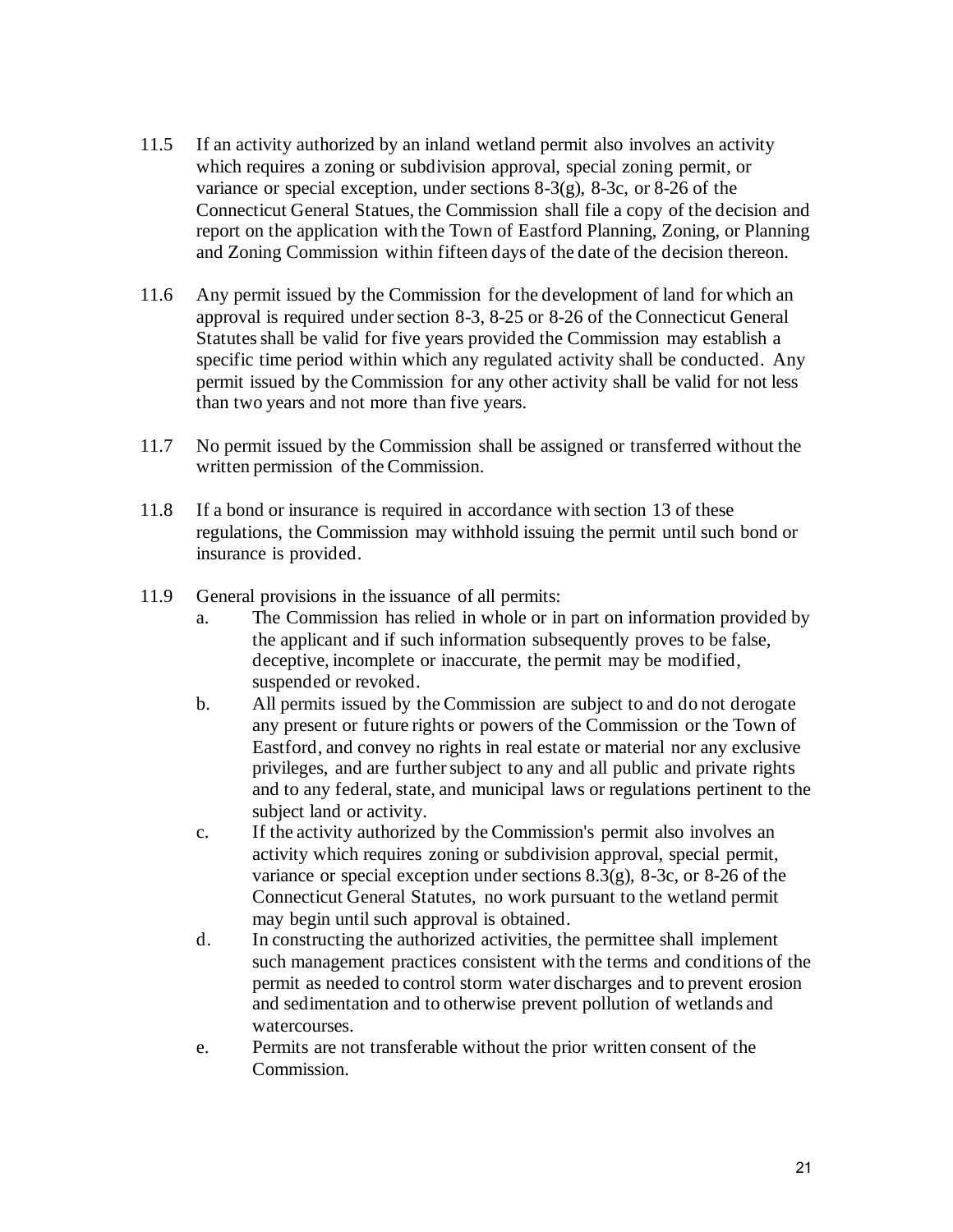- 11.5 If an activity authorized by an inland wetland permit also involves an activity which requires a zoning or subdivision approval, special zoning permit, or variance or special exception, under sections 8-3(g), 8-3c, or 8-26 of the Connecticut General Statues, the Commission shall file a copy of the decision and report on the application with the Town of Eastford Planning, Zoning, or Planning and Zoning Commission within fifteen days of the date of the decision thereon.
- 11.6 Any permit issued by the Commission for the development of land for which an approval is required under section 8-3, 8-25 or 8-26 of the Connecticut General Statutes shall be valid for five years provided the Commission may establish a specific time period within which any regulated activity shall be conducted. Any permit issued by the Commission for any other activity shall be valid for not less than two years and not more than five years.
- 11.7 No permit issued by the Commission shall be assigned or transferred without the written permission of the Commission.
- 11.8 If a bond or insurance is required in accordance with section 13 of these regulations, the Commission may withhold issuing the permit until such bond or insurance is provided.
- 11.9 General provisions in the issuance of all permits:
	- a. The Commission has relied in whole or in part on information provided by the applicant and if such information subsequently proves to be false, deceptive, incomplete or inaccurate, the permit may be modified, suspended or revoked.
	- b. All permits issued by the Commission are subject to and do not derogate any present or future rights or powers of the Commission or the Town of Eastford, and convey no rights in real estate or material nor any exclusive privileges, and are further subject to any and all public and private rights and to any federal, state, and municipal laws or regulations pertinent to the subject land or activity.
	- c. If the activity authorized by the Commission's permit also involves an activity which requires zoning or subdivision approval, special permit, variance or special exception under sections 8.3(g), 8-3c, or 8-26 of the Connecticut General Statutes, no work pursuant to the wetland permit may begin until such approval is obtained.
	- d. In constructing the authorized activities, the permittee shall implement such management practices consistent with the terms and conditions of the permit as needed to control storm water discharges and to prevent erosion and sedimentation and to otherwise prevent pollution of wetlands and watercourses.
	- e. Permits are not transferable without the prior written consent of the Commission.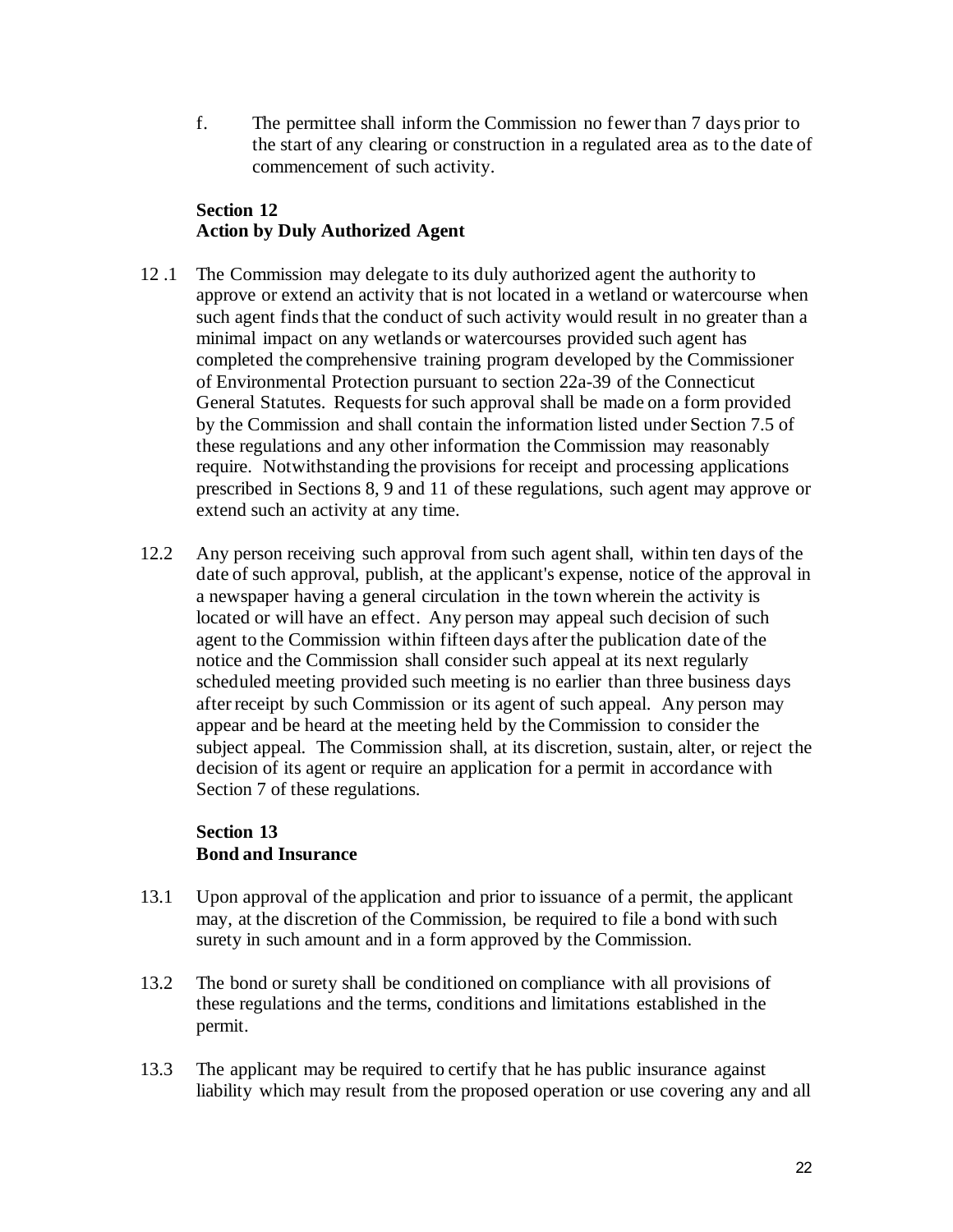f. The permittee shall inform the Commission no fewer than 7 days prior to the start of any clearing or construction in a regulated area as to the date of commencement of such activity.

# **Section 12 Action by Duly Authorized Agent**

- 12 .1 The Commission may delegate to its duly authorized agent the authority to approve or extend an activity that is not located in a wetland or watercourse when such agent finds that the conduct of such activity would result in no greater than a minimal impact on any wetlands or watercourses provided such agent has completed the comprehensive training program developed by the Commissioner of Environmental Protection pursuant to section 22a-39 of the Connecticut General Statutes. Requests for such approval shall be made on a form provided by the Commission and shall contain the information listed under Section 7.5 of these regulations and any other information the Commission may reasonably require. Notwithstanding the provisions for receipt and processing applications prescribed in Sections 8, 9 and 11 of these regulations, such agent may approve or extend such an activity at any time.
- 12.2 Any person receiving such approval from such agent shall, within ten days of the date of such approval, publish, at the applicant's expense, notice of the approval in a newspaper having a general circulation in the town wherein the activity is located or will have an effect. Any person may appeal such decision of such agent to the Commission within fifteen days after the publication date of the notice and the Commission shall consider such appeal at its next regularly scheduled meeting provided such meeting is no earlier than three business days after receipt by such Commission or its agent of such appeal. Any person may appear and be heard at the meeting held by the Commission to consider the subject appeal. The Commission shall, at its discretion, sustain, alter, or reject the decision of its agent or require an application for a permit in accordance with Section 7 of these regulations.

# **Section 13 Bond and Insurance**

- 13.1 Upon approval of the application and prior to issuance of a permit, the applicant may, at the discretion of the Commission, be required to file a bond with such surety in such amount and in a form approved by the Commission.
- 13.2 The bond or surety shall be conditioned on compliance with all provisions of these regulations and the terms, conditions and limitations established in the permit.
- 13.3 The applicant may be required to certify that he has public insurance against liability which may result from the proposed operation or use covering any and all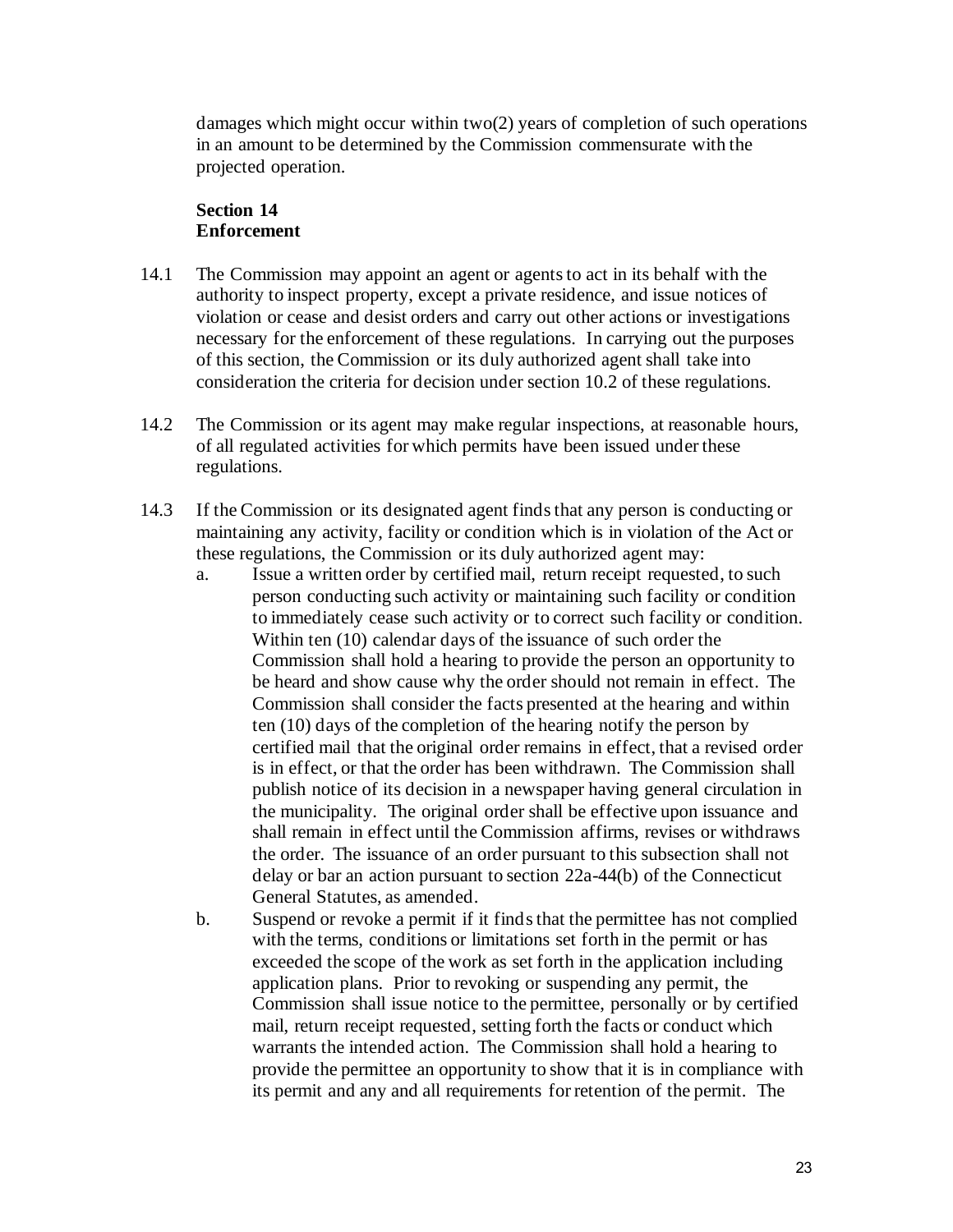damages which might occur within two(2) years of completion of such operations in an amount to be determined by the Commission commensurate with the projected operation.

### **Section 14 Enforcement**

- 14.1 The Commission may appoint an agent or agents to act in its behalf with the authority to inspect property, except a private residence, and issue notices of violation or cease and desist orders and carry out other actions or investigations necessary for the enforcement of these regulations. In carrying out the purposes of this section, the Commission or its duly authorized agent shall take into consideration the criteria for decision under section 10.2 of these regulations.
- 14.2 The Commission or its agent may make regular inspections, at reasonable hours, of all regulated activities for which permits have been issued under these regulations.
- 14.3 If the Commission or its designated agent finds that any person is conducting or maintaining any activity, facility or condition which is in violation of the Act or these regulations, the Commission or its duly authorized agent may:
	- a. Issue a written order by certified mail, return receipt requested, to such person conducting such activity or maintaining such facility or condition to immediately cease such activity or to correct such facility or condition. Within ten (10) calendar days of the issuance of such order the Commission shall hold a hearing to provide the person an opportunity to be heard and show cause why the order should not remain in effect. The Commission shall consider the facts presented at the hearing and within ten (10) days of the completion of the hearing notify the person by certified mail that the original order remains in effect, that a revised order is in effect, or that the order has been withdrawn. The Commission shall publish notice of its decision in a newspaper having general circulation in the municipality. The original order shall be effective upon issuance and shall remain in effect until the Commission affirms, revises or withdraws the order. The issuance of an order pursuant to this subsection shall not delay or bar an action pursuant to section 22a-44(b) of the Connecticut General Statutes, as amended.
	- b. Suspend or revoke a permit if it finds that the permittee has not complied with the terms, conditions or limitations set forth in the permit or has exceeded the scope of the work as set forth in the application including application plans. Prior to revoking or suspending any permit, the Commission shall issue notice to the permittee, personally or by certified mail, return receipt requested, setting forth the facts or conduct which warrants the intended action. The Commission shall hold a hearing to provide the permittee an opportunity to show that it is in compliance with its permit and any and all requirements for retention of the permit. The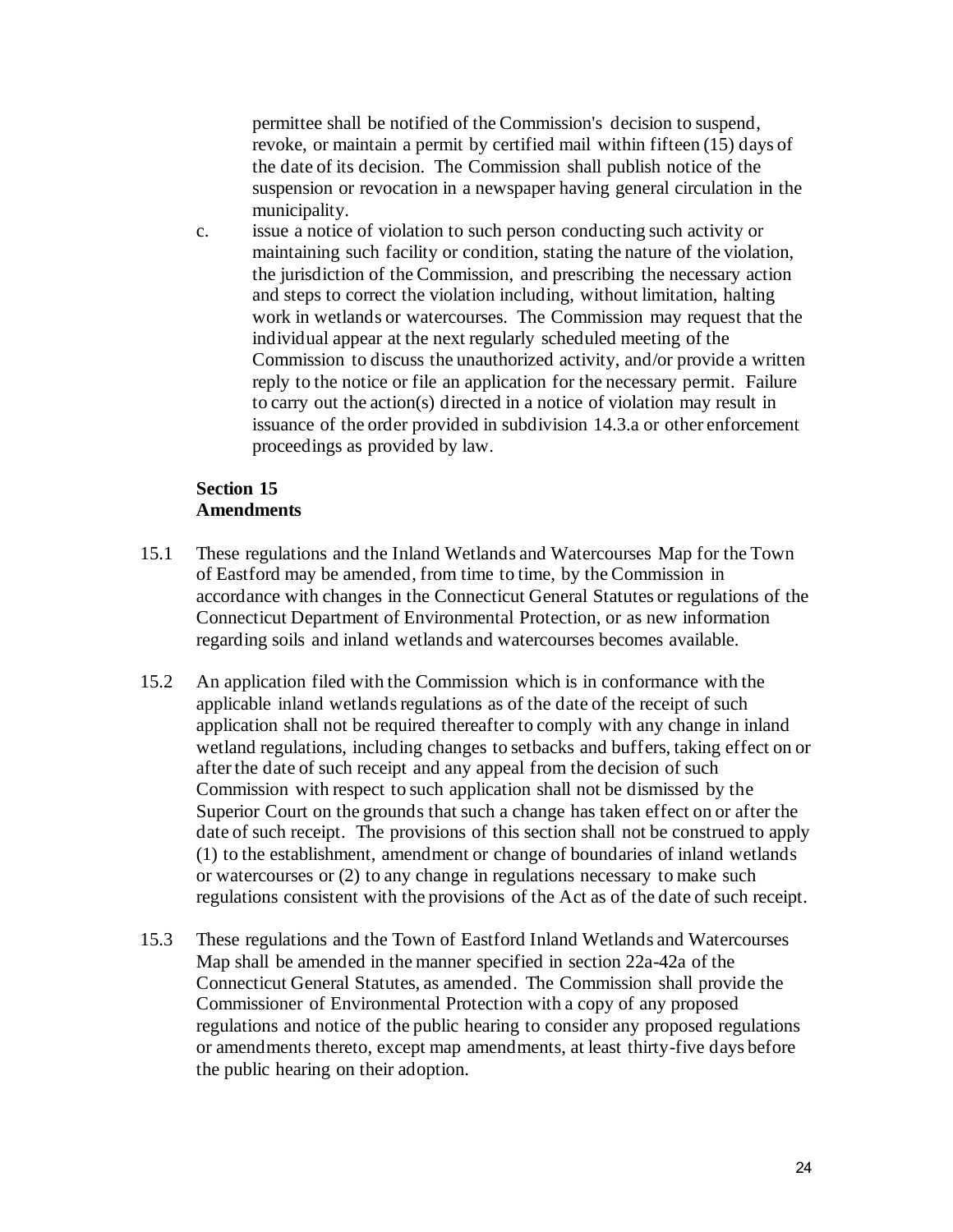permittee shall be notified of the Commission's decision to suspend, revoke, or maintain a permit by certified mail within fifteen (15) days of the date of its decision. The Commission shall publish notice of the suspension or revocation in a newspaper having general circulation in the municipality.

c. issue a notice of violation to such person conducting such activity or maintaining such facility or condition, stating the nature of the violation, the jurisdiction of the Commission, and prescribing the necessary action and steps to correct the violation including, without limitation, halting work in wetlands or watercourses. The Commission may request that the individual appear at the next regularly scheduled meeting of the Commission to discuss the unauthorized activity, and/or provide a written reply to the notice or file an application for the necessary permit. Failure to carry out the action(s) directed in a notice of violation may result in issuance of the order provided in subdivision 14.3.a or other enforcement proceedings as provided by law.

#### **Section 15 Amendments**

- 15.1 These regulations and the Inland Wetlands and Watercourses Map for the Town of Eastford may be amended, from time to time, by the Commission in accordance with changes in the Connecticut General Statutes or regulations of the Connecticut Department of Environmental Protection, or as new information regarding soils and inland wetlands and watercourses becomes available.
- 15.2 An application filed with the Commission which is in conformance with the applicable inland wetlands regulations as of the date of the receipt of such application shall not be required thereafter to comply with any change in inland wetland regulations, including changes to setbacks and buffers, taking effect on or after the date of such receipt and any appeal from the decision of such Commission with respect to such application shall not be dismissed by the Superior Court on the grounds that such a change has taken effect on or after the date of such receipt. The provisions of this section shall not be construed to apply (1) to the establishment, amendment or change of boundaries of inland wetlands or watercourses or (2) to any change in regulations necessary to make such regulations consistent with the provisions of the Act as of the date of such receipt.
- 15.3 These regulations and the Town of Eastford Inland Wetlands and Watercourses Map shall be amended in the manner specified in section 22a-42a of the Connecticut General Statutes, as amended. The Commission shall provide the Commissioner of Environmental Protection with a copy of any proposed regulations and notice of the public hearing to consider any proposed regulations or amendments thereto, except map amendments, at least thirty-five days before the public hearing on their adoption.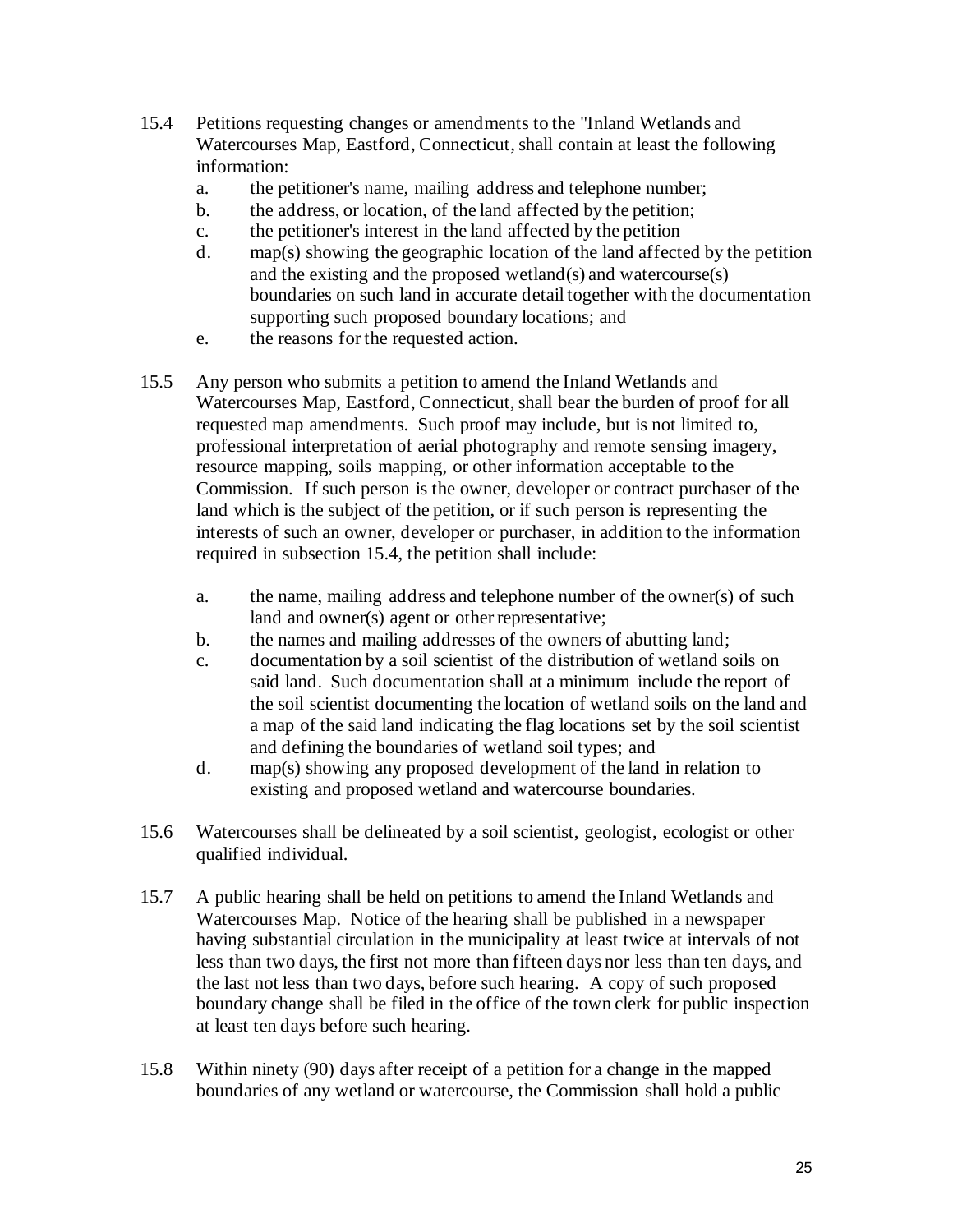- 15.4 Petitions requesting changes or amendments to the "Inland Wetlands and Watercourses Map, Eastford, Connecticut, shall contain at least the following information:
	- a. the petitioner's name, mailing address and telephone number;
	- b. the address, or location, of the land affected by the petition;
	- c. the petitioner's interest in the land affected by the petition
	- d. map(s) showing the geographic location of the land affected by the petition and the existing and the proposed wetland(s) and watercourse(s) boundaries on such land in accurate detail together with the documentation supporting such proposed boundary locations; and
	- e. the reasons for the requested action.
- 15.5 Any person who submits a petition to amend the Inland Wetlands and Watercourses Map, Eastford, Connecticut, shall bear the burden of proof for all requested map amendments. Such proof may include, but is not limited to, professional interpretation of aerial photography and remote sensing imagery, resource mapping, soils mapping, or other information acceptable to the Commission. If such person is the owner, developer or contract purchaser of the land which is the subject of the petition, or if such person is representing the interests of such an owner, developer or purchaser, in addition to the information required in subsection 15.4, the petition shall include:
	- a. the name, mailing address and telephone number of the owner(s) of such land and owner(s) agent or other representative;
	- b. the names and mailing addresses of the owners of abutting land;
	- c. documentation by a soil scientist of the distribution of wetland soils on said land. Such documentation shall at a minimum include the report of the soil scientist documenting the location of wetland soils on the land and a map of the said land indicating the flag locations set by the soil scientist and defining the boundaries of wetland soil types; and
	- d. map(s) showing any proposed development of the land in relation to existing and proposed wetland and watercourse boundaries.
- 15.6 Watercourses shall be delineated by a soil scientist, geologist, ecologist or other qualified individual.
- 15.7 A public hearing shall be held on petitions to amend the Inland Wetlands and Watercourses Map. Notice of the hearing shall be published in a newspaper having substantial circulation in the municipality at least twice at intervals of not less than two days, the first not more than fifteen days nor less than ten days, and the last not less than two days, before such hearing. A copy of such proposed boundary change shall be filed in the office of the town clerk for public inspection at least ten days before such hearing.
- 15.8 Within ninety (90) days after receipt of a petition for a change in the mapped boundaries of any wetland or watercourse, the Commission shall hold a public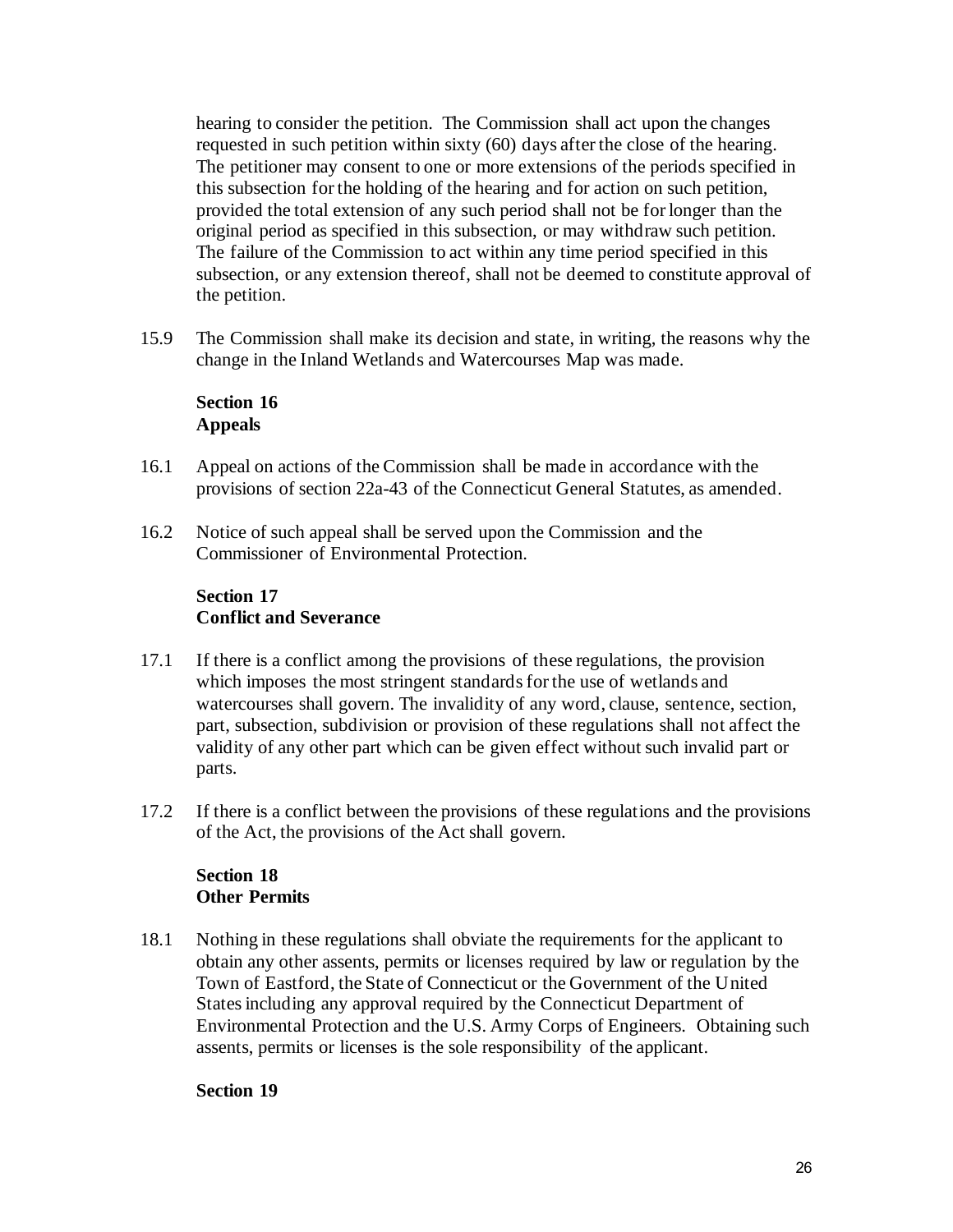hearing to consider the petition. The Commission shall act upon the changes requested in such petition within sixty (60) days after the close of the hearing. The petitioner may consent to one or more extensions of the periods specified in this subsection for the holding of the hearing and for action on such petition, provided the total extension of any such period shall not be for longer than the original period as specified in this subsection, or may withdraw such petition. The failure of the Commission to act within any time period specified in this subsection, or any extension thereof, shall not be deemed to constitute approval of the petition.

15.9 The Commission shall make its decision and state, in writing, the reasons why the change in the Inland Wetlands and Watercourses Map was made.

### **Section 16 Appeals**

- 16.1 Appeal on actions of the Commission shall be made in accordance with the provisions of section 22a-43 of the Connecticut General Statutes, as amended.
- 16.2 Notice of such appeal shall be served upon the Commission and the Commissioner of Environmental Protection.

# **Section 17 Conflict and Severance**

- 17.1 If there is a conflict among the provisions of these regulations, the provision which imposes the most stringent standards for the use of wetlands and watercourses shall govern. The invalidity of any word, clause, sentence, section, part, subsection, subdivision or provision of these regulations shall not affect the validity of any other part which can be given effect without such invalid part or parts.
- 17.2 If there is a conflict between the provisions of these regulations and the provisions of the Act, the provisions of the Act shall govern.

### **Section 18 Other Permits**

18.1 Nothing in these regulations shall obviate the requirements for the applicant to obtain any other assents, permits or licenses required by law or regulation by the Town of Eastford, the State of Connecticut or the Government of the United States including any approval required by the Connecticut Department of Environmental Protection and the U.S. Army Corps of Engineers. Obtaining such assents, permits or licenses is the sole responsibility of the applicant.

### **Section 19**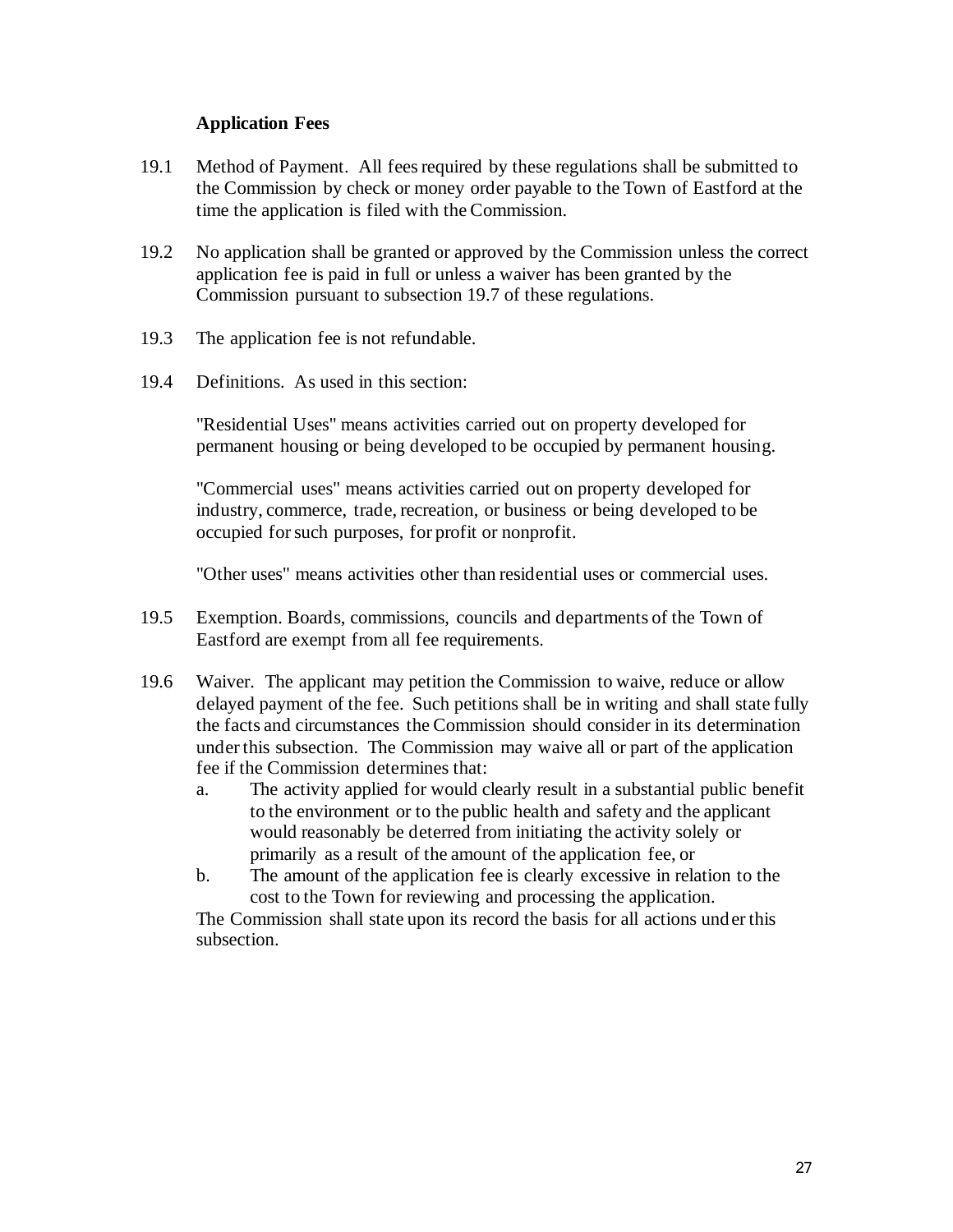#### **Application Fees**

- 19.1 Method of Payment. All fees required by these regulations shall be submitted to the Commission by check or money order payable to the Town of Eastford at the time the application is filed with the Commission.
- 19.2 No application shall be granted or approved by the Commission unless the correct application fee is paid in full or unless a waiver has been granted by the Commission pursuant to subsection 19.7 of these regulations.
- 19.3 The application fee is not refundable.
- 19.4 Definitions. As used in this section:

"Residential Uses" means activities carried out on property developed for permanent housing or being developed to be occupied by permanent housing.

"Commercial uses" means activities carried out on property developed for industry, commerce, trade, recreation, or business or being developed to be occupied for such purposes, for profit or nonprofit.

"Other uses" means activities other than residential uses or commercial uses.

- 19.5 Exemption. Boards, commissions, councils and departments of the Town of Eastford are exempt from all fee requirements.
- 19.6 Waiver. The applicant may petition the Commission to waive, reduce or allow delayed payment of the fee. Such petitions shall be in writing and shall state fully the facts and circumstances the Commission should consider in its determination under this subsection. The Commission may waive all or part of the application fee if the Commission determines that:
	- a. The activity applied for would clearly result in a substantial public benefit to the environment or to the public health and safety and the applicant would reasonably be deterred from initiating the activity solely or primarily as a result of the amount of the application fee, or
	- b. The amount of the application fee is clearly excessive in relation to the cost to the Town for reviewing and processing the application.

The Commission shall state upon its record the basis for all actions under this subsection.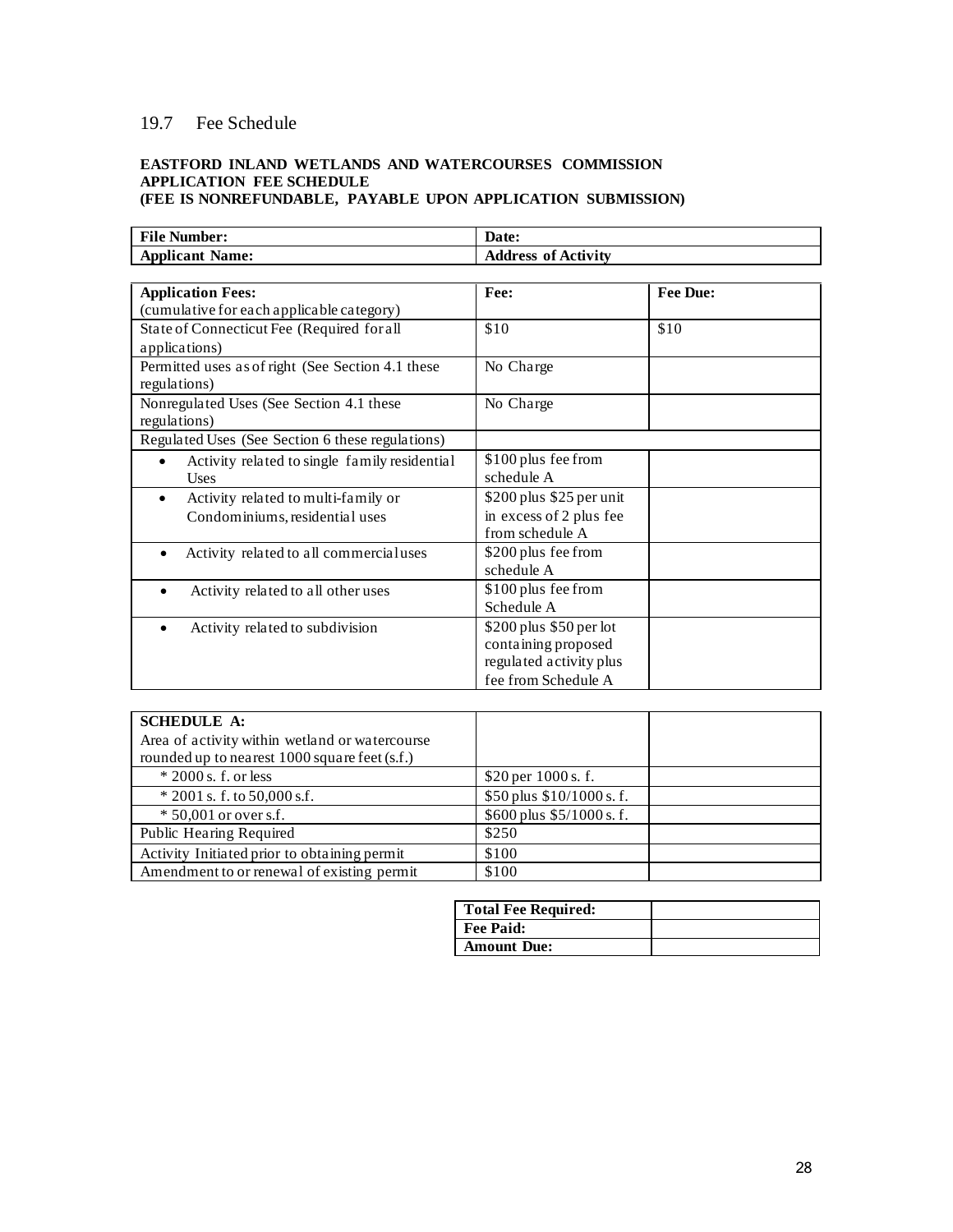### 19.7 Fee Schedule

#### **EASTFORD INLAND WETLANDS AND WATERCOURSES COMMISSION APPLICATION FEE SCHEDULE (FEE IS NONREFUNDABLE, PAYABLE UPON APPLICATION SUBMISSION)**

| <b>File Number:</b>                                        | Date:                      |          |
|------------------------------------------------------------|----------------------------|----------|
| <b>Applicant Name:</b>                                     | <b>Address of Activity</b> |          |
|                                                            |                            |          |
| <b>Application Fees:</b>                                   | Fee:                       | Fee Due: |
| (cumulative for each applicable category)                  |                            |          |
| State of Connecticut Fee (Required for all                 | \$10                       | \$10     |
| applications)                                              |                            |          |
| Permitted uses as of right (See Section 4.1 these          | No Charge                  |          |
| regulations)                                               |                            |          |
| Nonregulated Uses (See Section 4.1 these                   | No Charge                  |          |
| regulations)                                               |                            |          |
| Regulated Uses (See Section 6 these regulations)           |                            |          |
| Activity related to single family residential<br>$\bullet$ | \$100 plus fee from        |          |
| <b>Uses</b>                                                | schedule A                 |          |
| Activity related to multi-family or                        | \$200 plus \$25 per unit   |          |
| Condominiums, residential uses                             | in excess of 2 plus fee    |          |
|                                                            | from schedule A            |          |
| Activity related to all commercialuses                     | \$200 plus fee from        |          |
|                                                            | schedule A                 |          |
| Activity related to all other uses                         | \$100 plus fee from        |          |
|                                                            | Schedule A                 |          |
| Activity related to subdivision                            | $$200$ plus $$50$ per lot  |          |
|                                                            | containing proposed        |          |
|                                                            | regulated activity plus    |          |
|                                                            | fee from Schedule A        |          |

| <b>SCHEDULE A:</b>                              |                             |  |
|-------------------------------------------------|-----------------------------|--|
| Area of activity within wetland or watercourse  |                             |  |
| rounded up to nearest $1000$ square feet (s.f.) |                             |  |
| $*$ 2000 s. f. or less                          | \$20 per 1000 s. f.         |  |
| $*$ 2001 s. f. to 50,000 s.f.                   | \$50 plus \$10/1000 s.f.    |  |
| $* 50,001$ or over s.f.                         | $$600$ plus $$5/1000$ s. f. |  |
| Public Hearing Required                         | \$250                       |  |
| Activity Initiated prior to obtaining permit    | \$100                       |  |
| Amendment to or renewal of existing permit      | \$100                       |  |

| Total Fee Required: |  |
|---------------------|--|
| Fee Paid:           |  |
| <b>Amount Due:</b>  |  |